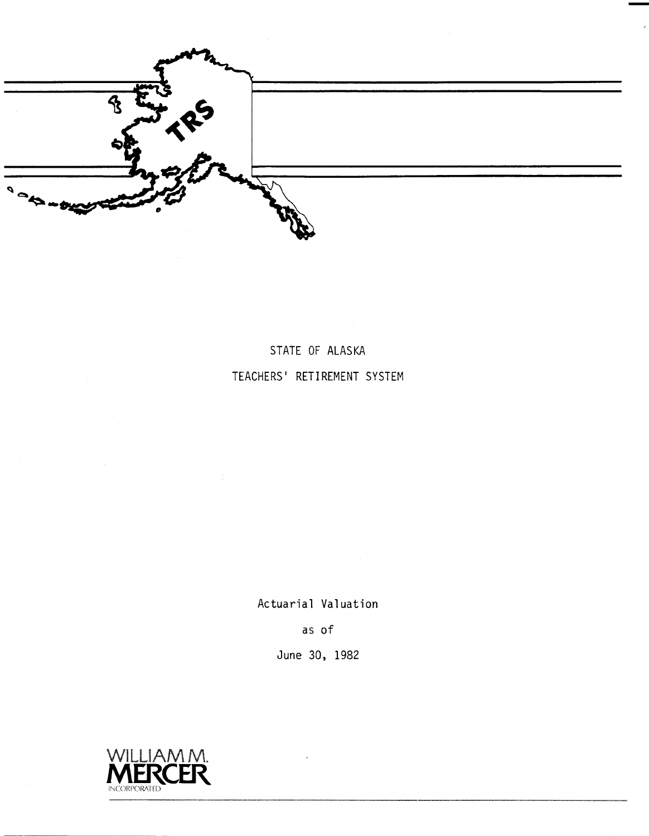$\boldsymbol{\kappa}$  $\rightarrow$ 

STATE OF ALASKA TEACHERS' RETIREMENT SYSTEM

Actuarial Valuation

as of

June 30, 1982

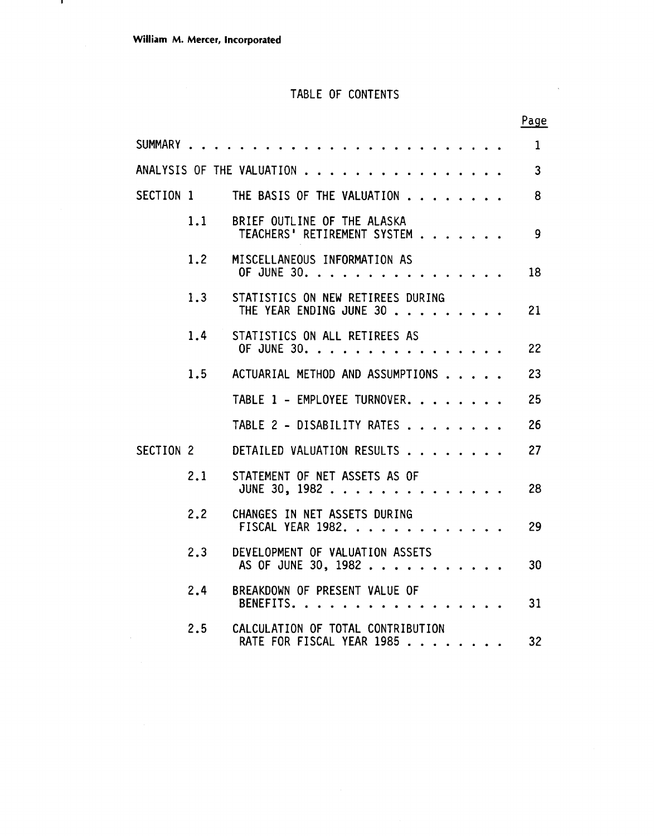- 11

### TABLE OF CONTENTS

 $\sim$   $\sim$ 

|           |     |                                                                | Page           |
|-----------|-----|----------------------------------------------------------------|----------------|
|           |     |                                                                | $\mathbf{1}$   |
|           |     | ANALYSIS OF THE VALUATION                                      | $\overline{3}$ |
| SECTION 1 |     | THE BASIS OF THE VALUATION                                     | 8              |
|           | 1.1 | BRIEF OUTLINE OF THE ALASKA<br>TEACHERS' RETIREMENT SYSTEM     | $\overline{9}$ |
|           | 1.2 | MISCELLANEOUS INFORMATION AS<br>OF JUNE 30.                    | 18             |
|           | 1.3 | STATISTICS ON NEW RETIREES DURING<br>THE YEAR ENDING JUNE 30   | 21             |
|           | 1.4 | STATISTICS ON ALL RETIREES AS<br>OF JUNE 30.                   | 22             |
|           | 1.5 | ACTUARIAL METHOD AND ASSUMPTIONS                               | 23             |
|           |     | TABLE 1 - EMPLOYEE TURNOVER.                                   | 25             |
|           |     | TABLE 2 - DISABILITY RATES                                     | 26             |
| SECTION 2 |     | DETAILED VALUATION RESULTS                                     | 27             |
|           | 2.1 | STATEMENT OF NET ASSETS AS OF<br>JUNE 30, 1982                 | 28             |
|           | 2.2 | CHANGES IN NET ASSETS DURING<br>FISCAL YEAR 1982.              | 29             |
|           | 2.3 | DEVELOPMENT OF VALUATION ASSETS<br>AS OF JUNE 30, 1982         | 30             |
|           | 2.4 | BREAKDOWN OF PRESENT VALUE OF<br>BENEFITS.                     | 31             |
|           | 2.5 | CALCULATION OF TOTAL CONTRIBUTION<br>RATE FOR FISCAL YEAR 1985 | 32             |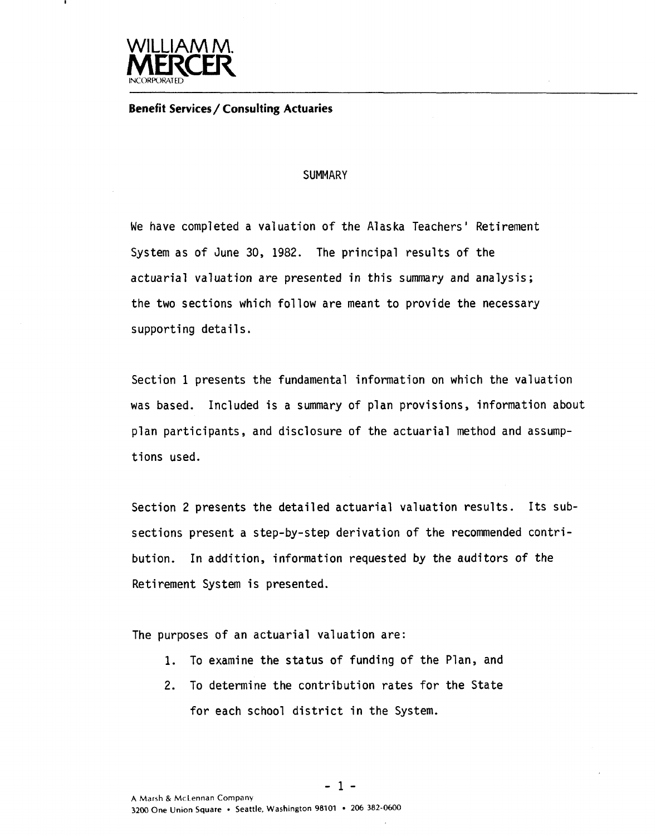

**Benefit Services/ Consulting Actuaries** 

#### **SUMMARY**

We have completed a valuation of the Alaska Teachers' Retirement System as of June 30, 1982. The principal results of the actuarial valuation are presented in this summary and analysis; the two sections which follow are meant to provide the necessary supporting details.

Section 1 presents the fundamental information on which the valuation was based. Included is a summary of plan provisions, information about plan participants, and disclosure of the actuarial method and assumptions used.

Section 2 presents the detailed actuarial valuation results. Its subsections present a step-by-step derivation of the recommended contribution. In addition, information requested by the auditors of the Retirement System is presented.

The purposes of an actuarial valuation are:

- **1.** To examine the status of funding of the Plan, and
- 2. To determine the contribution rates for the State for each school district in the System.

**-1-**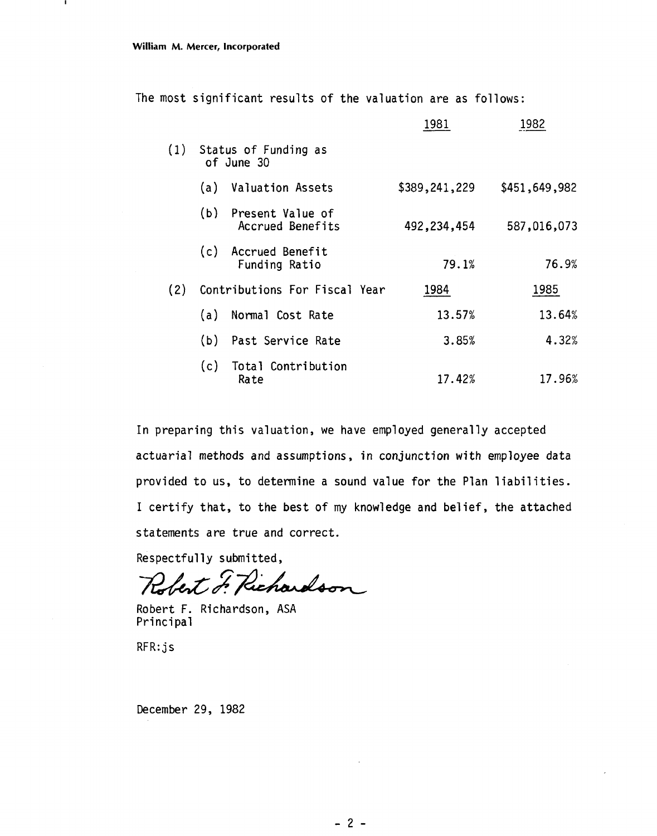п

The most significant results of the valuation are as follows:

|     |     |                                        | 1981          | 1982          |
|-----|-----|----------------------------------------|---------------|---------------|
|     |     | (1) Status of Funding as<br>of June 30 |               |               |
|     | (a) | <b>Valuation Assets</b>                | \$389,241,229 | \$451,649,982 |
|     | (b) | Present Value of<br>Accrued Benefits   | 492,234,454   | 587,016,073   |
|     | (c) | Accrued Benefit<br>Funding Ratio       | 79.1%         | 76.9%         |
| (2) |     | Contributions For Fiscal Year          | 1984          | 1985          |
|     | (a) | Normal Cost Rate                       | 13.57%        | 13.64%        |
|     | (b) | Past Service Rate                      | 3.85%         | 4.32%         |
|     | (c) | Total Contribution<br>Rate             | 17.42%        | 17.96%        |

In preparing this valuation, we have employed generally accepted actuarial methods and assumptions, in conjunction with employee data provided to us, to determine a sound value for the Plan liabilities. I certify that, to the best of my knowledge and belief, the attached statements are true and correct.

Respectfully submitted,

Richardson bert o

Robert F. Richardson, ASA Principal

RFR: j s

December 29, 1982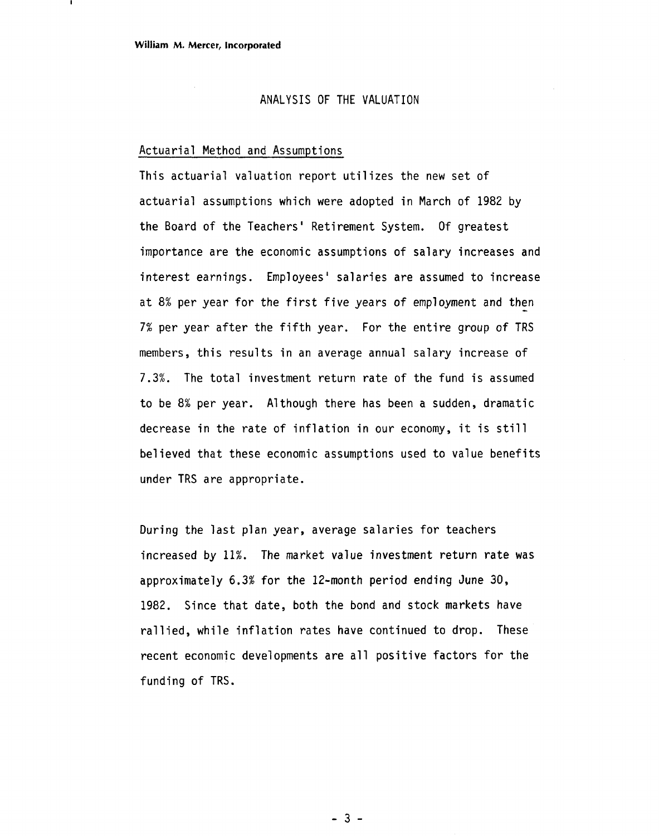#### ANALYSIS OF THE VALUATION

#### Actuarial Method and Assumptions

This actuarial valuation report utilizes the new set of actuarial assumptions which were adopted in March of 1982 by the Board of the Teachers' Retirement System. Of greatest importance are the economic assumptions of salary increases and interest earnings. Employees' salaries are assumed to increase at 8% per year for the first five years of employment and then **7%** per year after the fifth year. For the entire group of TRS members, this results in an average annual salary increase of 7.3%. The total investment return rate of the fund is assumed to be 8% per year. Although there has been a sudden, dramatic decrease in the rate of inflation in our economy, it is still believed that these economic assumptions used to value benefits under TRS are appropriate.

During the last plan year, average salaries for teachers increased by 11%. The market value investment return rate was approximately 6.3% for the 12-month period ending June 30, 1982. Since that date, both the bond and stock markets have rallied, while inflation rates have continued to drop. These recent economic developments are all positive factors for the funding of TRS.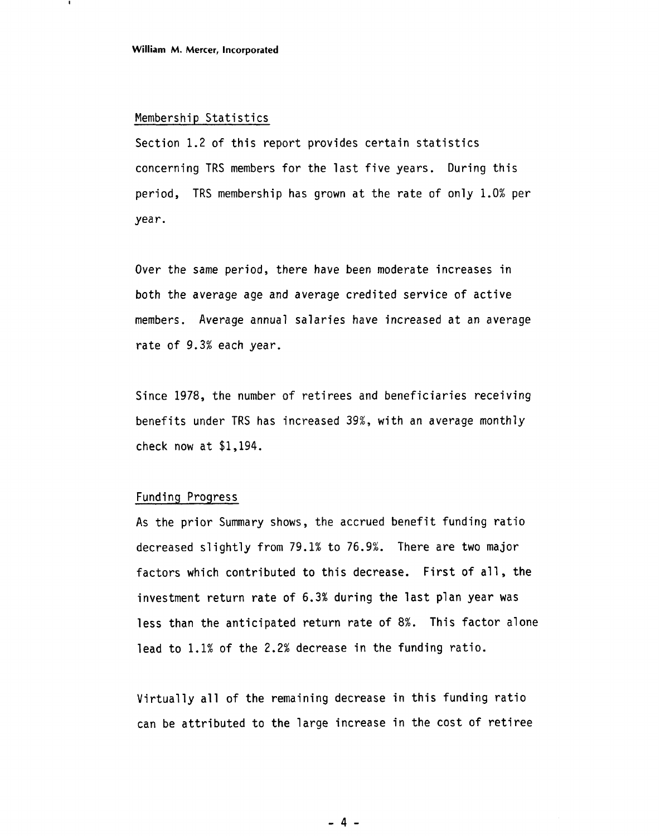#### Membership Statistics

Section 1.2 of this report provides certain statistics concerning TRS members for the last five years. During this period, TRS membership has grown at the rate of only 1.0% per year .

Over the same period, there have been moderate increases in both the average age and average credited service of active members. Average annual salaries have increased at an average rate of 9.3% each year.

Since 1978, the number of retirees and beneficiaries receiving benefits under TRS has increased 39%, with an average monthly check now at \$1,194.

#### Funding Progress

As the prior Summary shows, the accrued benefit funding ratio decreased slightly from 79.1% to 76.9%. There are two major factors which contributed to this decrease. First of all, the investment return rate of 6.3% during the last plan year was less than the anticipated return rate of 8%. This factor alone lead to 1.1% of the 2.2% decrease in the funding ratio.

Virtually all of the remaining decrease in this funding ratio can be attributed to the large increase in the cost of retiree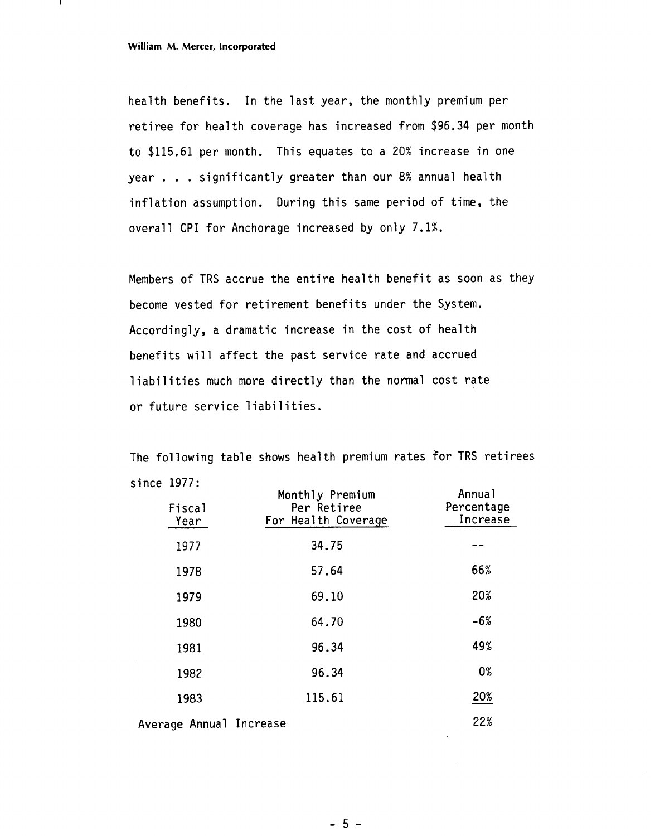health benefits. In the last year, the monthly premium per retiree for health coverage has increased from \$96.34 per month to \$115.61 per month. This equates to a 20% increase in one year . . . significantly greater than our 8% annual health inflation assumption. During this same period of time, the overall CPI for Anchorage increased by only 7.1%.

Members of TRS accrue the entire health benefit as soon as they become vested for retirement benefits under the System. Accordingly, a dramatic increase in the cost of health benefits will affect the past service rate and accrued liabilities much more directly than the normal cost rate or future service liabilities.

The following table shows health premium rates for TRS retirees since 1977:

| <b>Fiscal</b><br>Year   | Monthly Premium<br>Per Retiree<br>For Health Coverage | Annual<br>Percentage<br>Increase |
|-------------------------|-------------------------------------------------------|----------------------------------|
| 1977                    | 34.75                                                 |                                  |
| 1978                    | 57.64                                                 | 66%                              |
| 1979                    | 69.10                                                 | 20%                              |
| 1980                    | 64.70                                                 | $-6%$                            |
| 1981                    | 96.34                                                 | 49%                              |
| 1982                    | 96.34                                                 | 0%                               |
| 1983                    | 115.61                                                | 20%                              |
| Average Annual Increase |                                                       | 22%                              |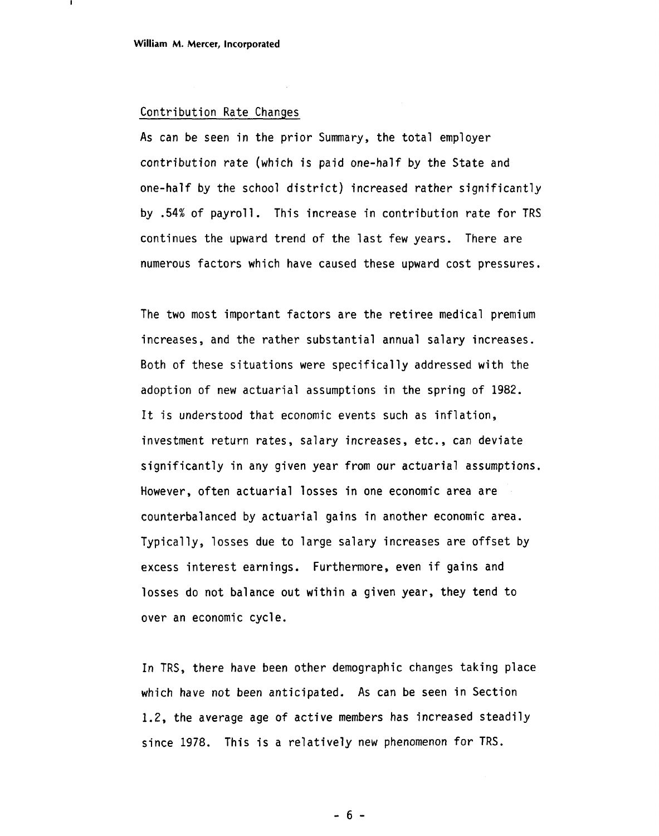#### Contribution Rate Changes

As can be seen in the prior Summary, the total employer contribution rate (which is paid one-half by the State and one-half by the school district) increased rather significantly by .54% of payroll. This increase in contribution rate for TRS continues the upward trend of the last few years. There are numerous factors which have caused these upward cost pressures.

The two most important factors are the retiree medical premium increases, and the rather substantial annual salary increases. Both of these situations were specifically addressed with the adoption of new actuarial assumptions in the spring of 1982. It is understood that economic events such as inflation, investment return rates, salary increases, etc., can deviate significantly in any given year from our actuarial assumptions. However, often actuarial losses in one economic area are counterbalanced by actuarial gains in another economic area. Typically, losses due to large salary increases are offset by excess interest earnings. Furthermore, even if gains and losses do not balance out within a given year, they tend to over an economic cycle.

In TRS, there have been other demographic changes taking place which have not been anticipated. As can be seen in Section 1.2, the average age of active members has increased steadily since 1978. This is a relatively new phenomenon for TRS.

 $-6-$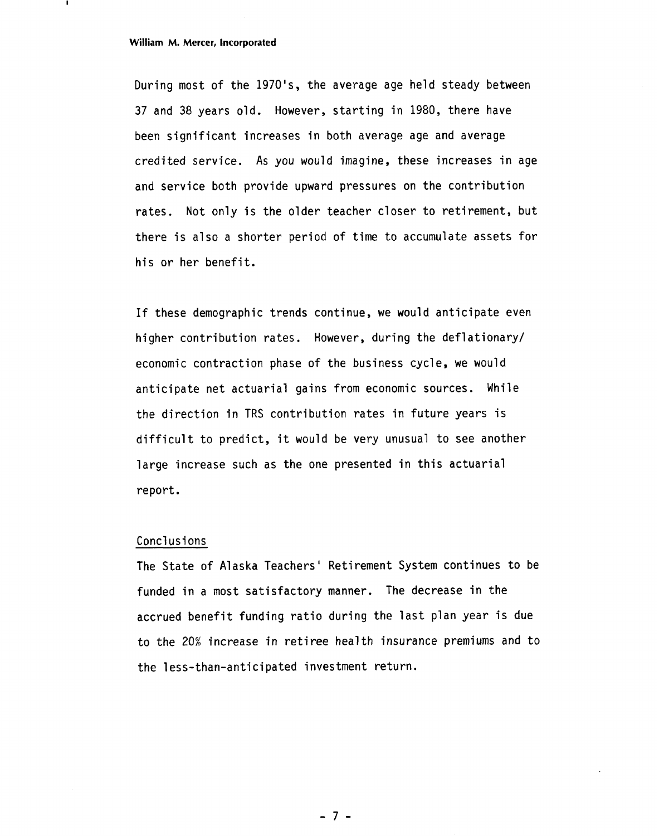#### **William M. Mercer, Incorporated**

During most of the 1970's, the average age held steady between 37 and 38 years old. However, starting in 1980, there have been significant increases in both average age and average credited service. As you would imagine, these increases in age and service both provide upward pressures on the contribution rates. Not only is the older teacher closer to retirement, but there is also a shorter period of time to accumulate assets for his or her benefit.

If these demographic trends continue, we would anticipate even higher contribution rates. However, during the deflationary/ economic contraction phase of the business cycle, we would anticipate net actuarial gains from economic sources. While the direction in TRS contribution rates in future years is difficult to predict, it would be very unusual to see another large increase such as the one presented in this actuarial report.

#### Conclusions

The State of Alaska Teachers' Retirement System continues to be funded in a most satisfactory manner. The decrease in the accrued benefit funding ratio during the last plan year is due to the 20% increase in retiree health insurance premiums and to the less-than-anticipated investment return.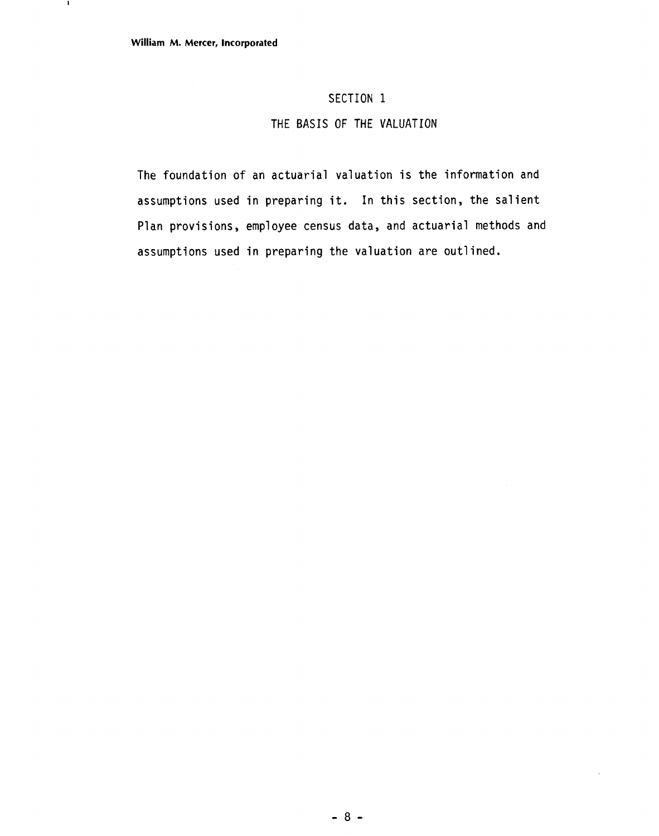$\mathbf{I}$ 

### SECTION 1

#### THE BASIS OF THE VALUATION

The foundation of an actuarial valuation is the information and assumptions used in preparing it. In this section, the salient Plan provisions, employee census data, and actuarial methods and assumptions used in preparing the valuation are outlined.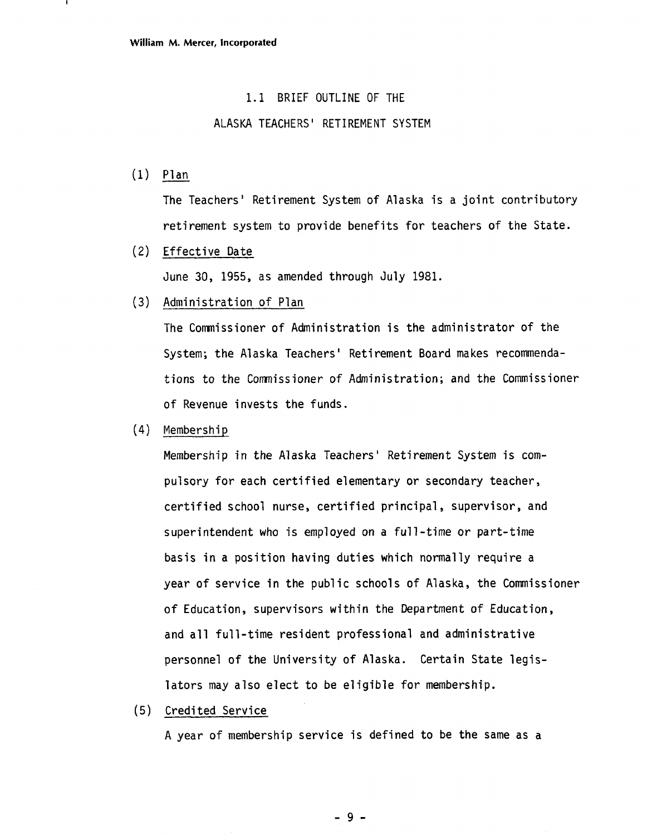#### 1.1 BRIEF OUTLINE OF THE

#### ALASKA TEACHERS' RETIREMENT SYSTEM

(1) Plan

The Teachers' Retirement System of Alaska is a joint contributory retirement system to provide benefits for teachers of the State.

(2) Effective Date

June 30, 1955, as amended through July 1981.

(3) Administration of Plan

The Commissioner of Administration is the administrator of the System; the Alaska Teachers ' Retirement Board makes recommendations to the Commissioner of Administration; and the Commissioner of Revenue invests the funds.

(4) Membershi p

Membership in the Alaska Teachers' Retirement System is compulsory for each certified elementary or secondary teacher, certified school nurse, certified principal, supervisor, and superintendent who is employed on a full-time or part-time basis in a position having duties which normally require a year of service in the public schools of Alaska, the Commissioner of Education, supervisors within the Department of Education, and all full-time resident professional and administrative personnel of the University of Alaska. Certain State legislators may also elect to be eligible for membership.

(5) Credited Service

A year of membership service is defined to be the same as a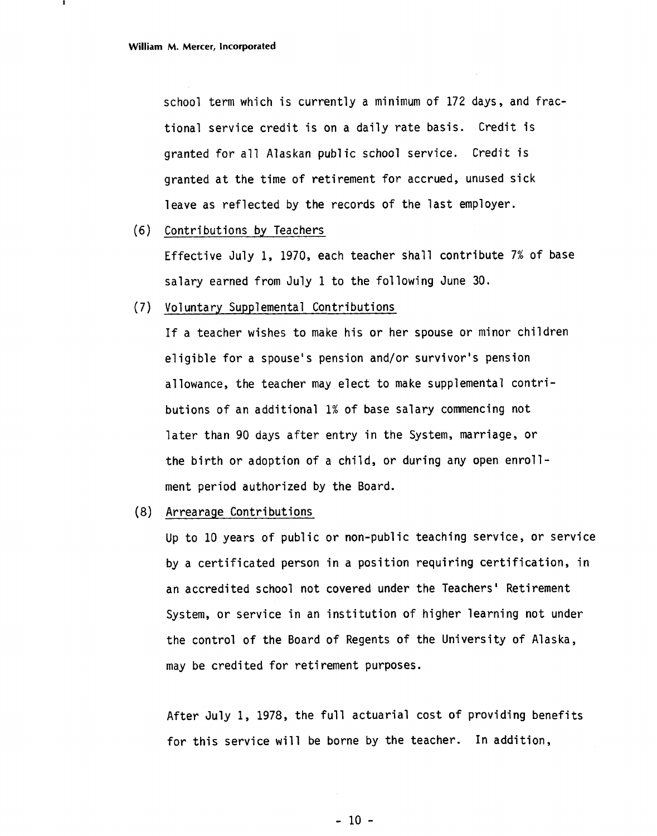school term which is currently a minimum of 172 days, and fractional service credit is on a daily rate basis. Credit is granted for all Alaskan public school service. Credit is granted at the time of retirement for accrued, unused sick leave as reflected by the records of the last employer.

(6) Contributions by Teachers

Effective July 1, 1970, each teacher shall contribute 7% of base salary earned from July 1 to the following June 30.

(7) Voluntary Supplemental Contributions

If a teacher wishes to make his or her spouse or minor children eligible for a spouse's pension and/or survivor's pension allowance, the teacher may elect to make supplemental contributions of an additional 1% of base salary commencing not later than 90 days after entry in the System, marriage, or the birth or adoption of a child, or during any open enrollment period authorized by the Board.

(8) Arrearage Contributions

Up to 10 years of public or non-public teaching service, or service by a certificated person in a position requiring certification, in an accredited school not covered under the Teachers' Retirement System, or service in an institution of higher learning not under the control of the Board of Regents of the University of Alaska, may be credited for retirement purposes.

After July 1, 1978, the full actuarial cost of providing benefits for this service will be borne by the teacher. In addition,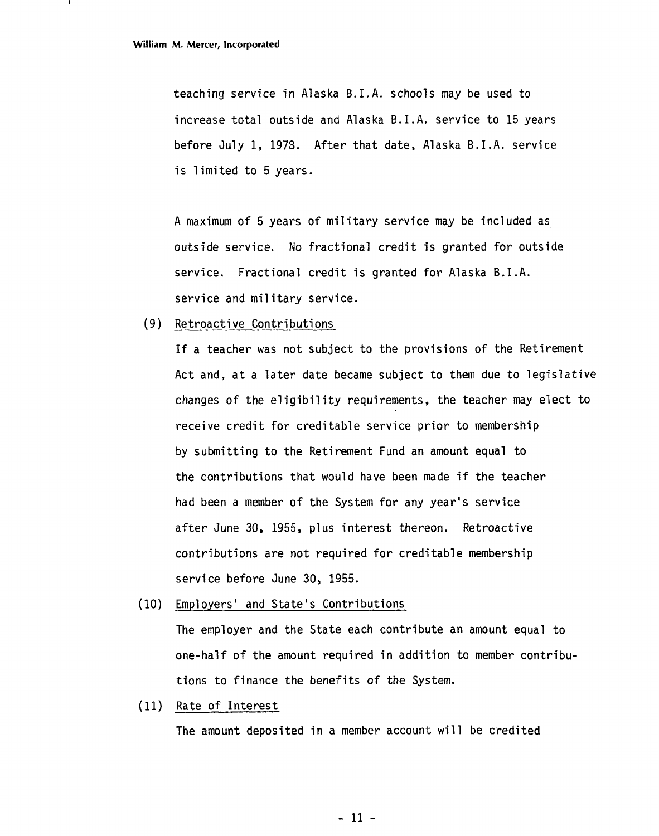teaching service in Alaska B.I.A. schools may be used to increase total outside and Alaska B.I.A. service to 15 years before July 1, 1973. After that date, Alaska B.I.A. service is limited to 5 years.

A maximum of 5 years of military service may be included as outside service. No fractional credit is granted for outside service. Fractional credit is granted for Alaska B.I.A. service and military service.

(9) Retroactive Contributions

If a teacher was not subject to the provisions of the Retirement Act and, at a later date became subject to them due to legislative changes of the eligibility requirements, the teacher may elect to receive credit for creditable service prior to membership by submitting to the Retirement Fund an amount equal to the contributions that would have been made if the teacher had been a member of the System for any year's service after June 30, 1955, plus interest thereon. Retroactive contributions are not required for creditable membership service before June 30, 1955.

(10) Employers' and State's Contributions

The employer and the State each contribute an amount equal to one-half of the amount required in addition to member contributions to finance the benefits of the System.

(11) Rate of Interest

The amount deposited in a member account will be credited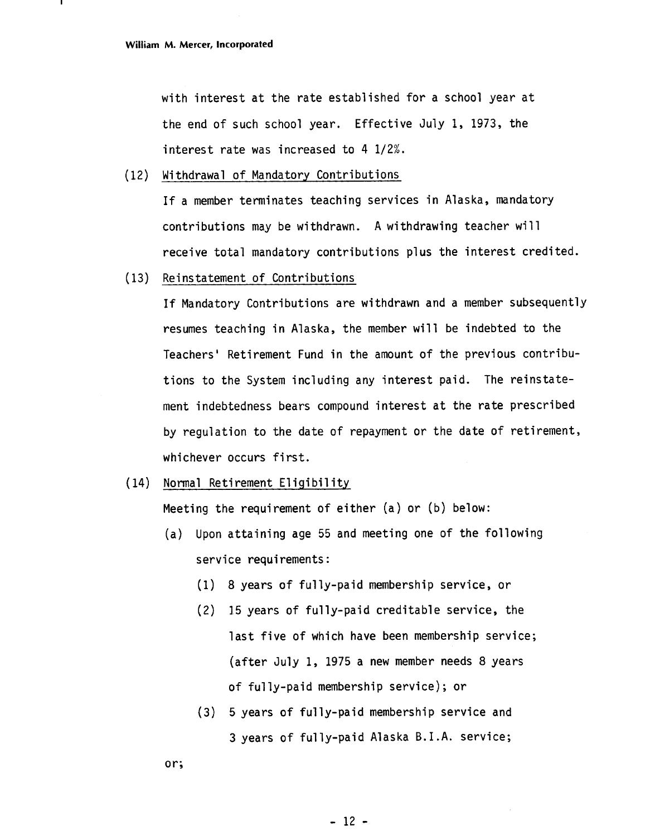with interest at the rate established for a school year at the end of such school year. Effective July 1, 1973, the interest rate was increased to 4 1/2%.

(12) Withdrawal of Mandatory Contributions

If a member terminates teaching services in Alaska, mandatory contributions may be withdrawn. **A** withdrawing teacher wi 11 receive total mandatory contributions plus the interest credited.

(13) Reinstatement of Contributions

If Mandatory Contributions are withdrawn and a member subsequently resumes teaching in Alaska, the member will be indebted to the Teachers' Retirement Fund in the amount of the previous contributions to the System including any interest paid. The reinstatement indebtedness bears compound interest at the rate prescribed by regulation to the date of repayment or the date of retirement, whichever occurs first.

 $(14)$ Normal Retirement Eligibility

Meeting the requirement of either (a) or (b) below:

- (a) Upon attaining age 55 and meeting one of the following service requirements:
	- (1) 8 years of fully-paid membership service, or
	- (2) 15 years of fully-paid creditable service, the last five of which have been membership service; (after July 1, 1975 a new member needs 8 years of fully-paid membership service); or
	- **(3)** 5 years of fully-paid membership service and **3** years of fully-paid Alaska B. I **.A.** service;

or;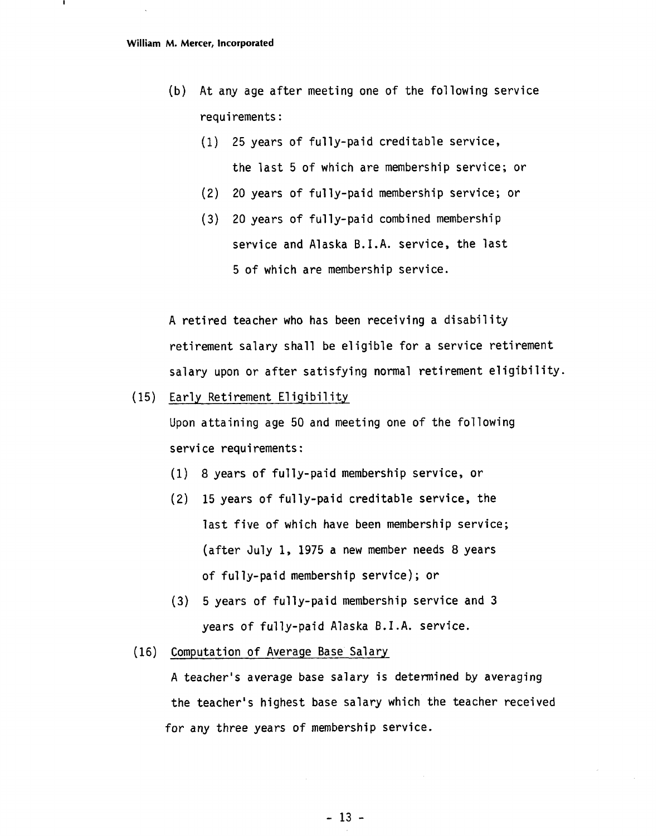- (b) At any age after meeting one of the following service requirements :
	- (1) 25 years of fully-paid creditable service, the last 5 of which are membership service; or
	- (2) 20 years of ful ly-paid membership service; or
	- (3) 20 years of fully-paid combined membership service and Alaska B.I.A. service, the last 5 of which are membership service.

A retired teacher who has been receiving a disability retirement salary shall be eligible for a service retirement salary upon or after satisfying normal retirement eligibility.

(15) Early Retirement Eligibility

Upon attaining age 50 and meeting one of the following service requirements:

- (1) 8 years of fully-paid membership service, or
- **(2)** 15 years of fully-paid creditable service, the last five of which have been membership service; (after July 1, 1975 a new member needs 8 years of fully-paid membership service); or
- (3) 5 years of fully-paid membership service and 3 years of fully-paid Alaska B.I.A. service.
- (16) Computation of Average Base Salary

A teacher's average base salary is determined **by** averaging the teacher's highest base salary which the teacher received for any three years of membership service.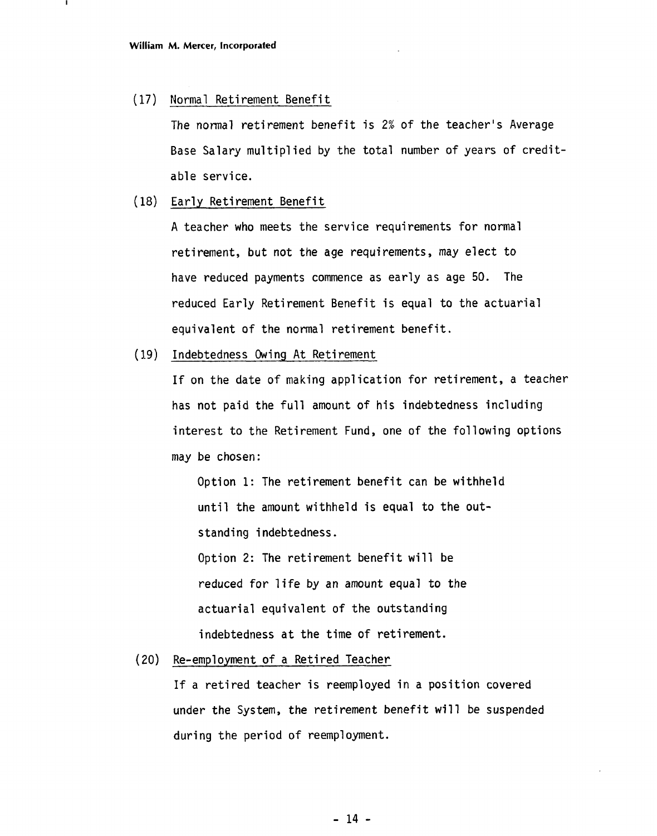#### (17) Normal Retirement Benefit

The normal retirement benefit is 2% of the teacher's Average Base Salary multiplied by the total number of years of creditable service.

#### (18) Early Retirement Benefit

A teacher who meets the service requirements for normal retirement, but not the age requirements, may elect to have reduced payments commence as early as age 50. The reduced Early Retirement Benefit is equal to the actuarial equivalent of the normal retirement benefit.

( 1.9) Indebtedness Owing At Retirement

If on the date of making application for retirement, a teacher has not paid the full amount of his indebtedness including interest to the Retirement Fund, one of the following options may be chosen:

Option 1: The retirement benefit can be withheld until the amount withheld is equal to the outstanding indebtedness.

Option 2: The retirement benefit will be reduced for life by an amount equal to the actuarial equivalent of the outstanding indebtedness at the time of retirement.

#### (20) Re-employment of a Retired Teacher

If a retired teacher is reemployed in a position covered under the System, the retirement benefit will be suspended during the period of reemployment.

 $-14$  -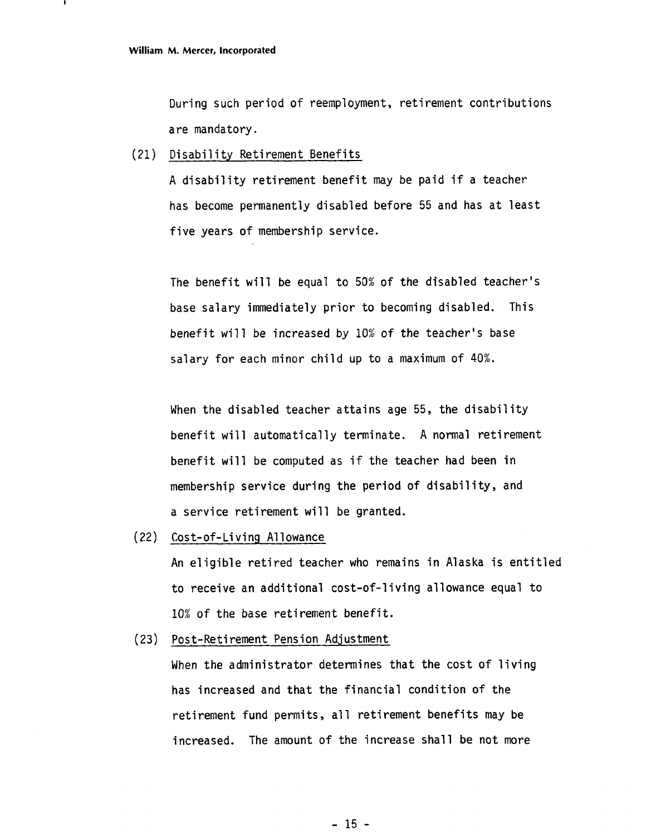During such period of reemployment, retirement contributions are mandatory.

#### (21) Disability Retirement Benefits

A disability retirement benefit may be paid if a teacher has become permanently disabled before 55 and has at least five years of membership service.

The benefit will be equal to 50% of the disabled teacher's base salary immediately prior to becoming disabled. This benefit will be increased by 10% of the teacher's base salary for each minor child up to a maximum of 40%.

When the disabled teacher attains age 55, the disability benefit will automatically terminate. A normal retirement benefit will be computed as if the teacher had been in membership service during the period of disability, and a service retirement will be granted.

**(22)** Cost-of-Li vi ng A1 lowance

An eligible retired teacher who remains in Alaska is entitled to receive an additional cost-of-1 iving allowance equal to 10% of the base retirement benefit.

(23) Post-Reti rement Pension Adjustment

When the administrator determines that the cost of living has increased and that the financial condition of the retirement fund permits, all retirement benefits may be increased. The amount of the increase shall be not more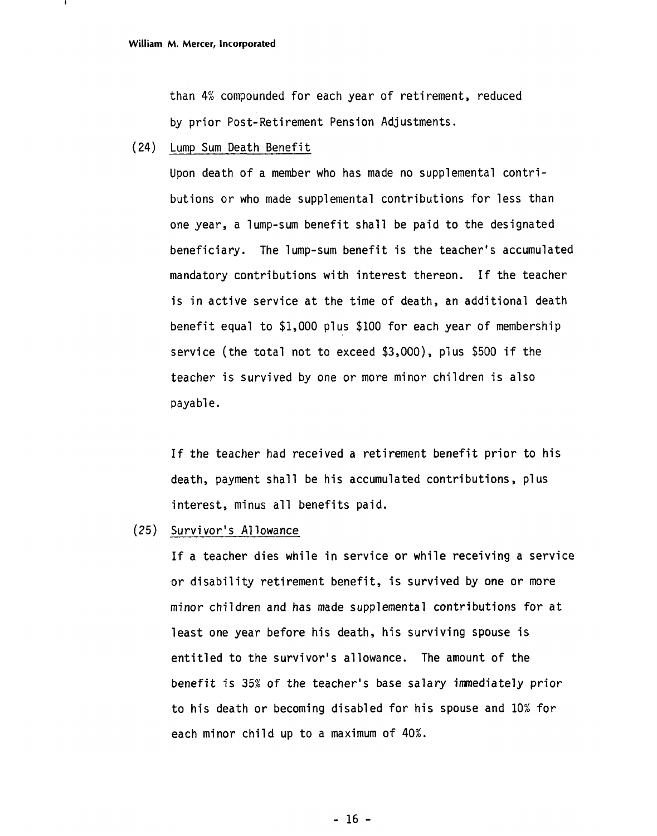than 4% compounded for each year of retirement, reduced by prior Post-Retirement Pension Adjustments.

(24) Lump Sum Death Benefit

Upon death of a member who has made no supplemental contributions or who made supplemental contributions for less than one year, a lump-sum benefit shall be paid to the designated beneficiary. The lump-sum benefit is the teacher's accumulated mandatory contributions with interest thereon. If the teacher is in active service at the time of death, an additional death benefit equal to \$1,000 plus \$100 for each year of membership service (the total not to exceed \$3,000), plus \$500 if the teacher is survived by one or more minor children is also payable.

If the teacher had received a retirement benefit prior to his death, payment shall be his accumulated contributions, plus interest, minus all benefits paid.

(25) Survivor's A1 lowance

If a teacher dies while in service or while receiving a service or disability retirement benefit, is survived by one or more minor children and has made supplemental contributions for at least one year before his death, his surviving spouse is entitled to the survivor's allowance. The amount of the benefit is 35% of the teacher's base salary imnediately prior to his death or becoming disabled for his spouse and 10% for each minor child up to a maximum of 40%.

 $-16 -$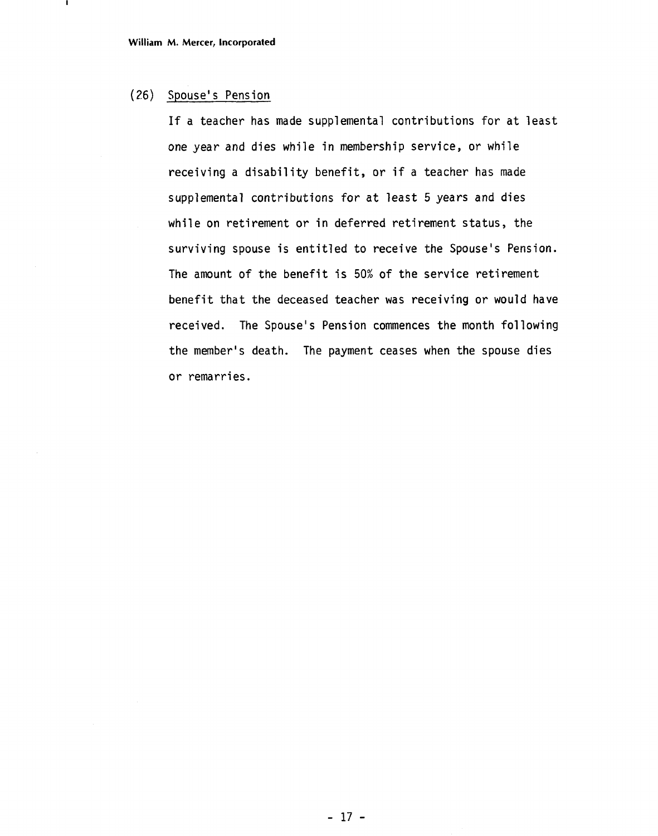#### (26) Spouse' s Pension

If a teacher has made supplemental contributions for at least one year and dies while in membership service, or while receiving a disability benefit, or if a teacher has made supplemental contributions for at least 5 years and dies while on retirement or in deferred retirement status, the surviving spouse is entitled to receive the Spouse's Pension. The amount of the benefit is 50% of the service retirement benefit that the deceased teacher was receiving or would have received. The Spouse's Pension commences the month following the member's death. The payment ceases when the spouse dies or remarries.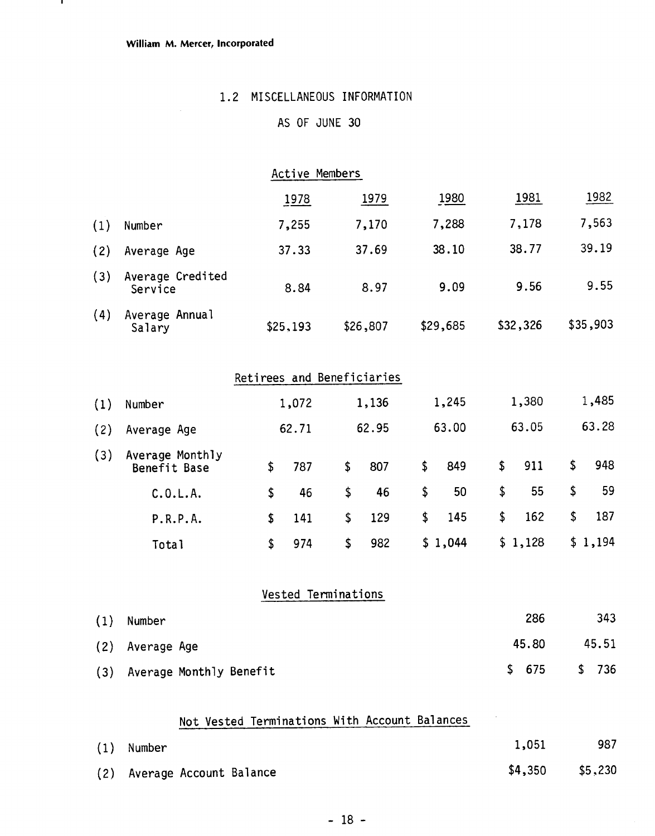$\mathbf{I}$ 

#### 1.2 MISCELLANEOUS INFORMATION

### AS OF JUNE 30

|     |                             | AS UP JUNE 30  |          |          |          |          |  |
|-----|-----------------------------|----------------|----------|----------|----------|----------|--|
|     |                             |                |          |          |          |          |  |
|     |                             | Active Members |          |          |          |          |  |
|     |                             | 1978           | 1979     | 1980     | 1981     | 1982     |  |
| (1) | Number                      | 7,255          | 7,170    | 7,288    | 7,178    | 7,563    |  |
| (2) | Average Age                 | 37.33          | 37.69    | 38.10    | 38.77    | 39.19    |  |
| (3) | Average Credited<br>Service | 8.84           | 8.97     | 9.09     | 9.56     | 9.55     |  |
| (4) | Average Annual<br>Salary    | \$25,193       | \$26,807 | \$29,685 | \$32,326 | \$35,903 |  |

|  |  | Retirees and Beneficiaries |
|--|--|----------------------------|
|--|--|----------------------------|

| (1) | Number                          | 1,072     | 1,136     | 1,245     | 1,380     | 1,485     |
|-----|---------------------------------|-----------|-----------|-----------|-----------|-----------|
| (2) | Average Age                     | 62.71     | 62.95     | 63.00     | 63.05     | 63.28     |
| (3) | Average Monthly<br>Benefit Base | \$<br>787 | \$<br>807 | \$<br>849 | \$<br>911 | \$<br>948 |
|     | C.0.L.A.                        | \$<br>46  | \$<br>46  | \$<br>50  | \$<br>55  | \$<br>59  |
|     | P.R.P.A.                        | \$<br>141 | \$<br>129 | \$<br>145 | \$<br>162 | \$<br>187 |
|     | <b>Total</b>                    | \$<br>974 | \$<br>982 | \$1,044   | \$1,128   | \$1,194   |

### Vested Terminations

| (1) | Number                  | 286   | 343   |
|-----|-------------------------|-------|-------|
|     | (2) Average Age         | 45.80 | 45.51 |
| (3) | Average Monthly Benefit | \$675 | \$736 |

### Not Vested Terminations With Account Balances

| $(1)$ Number                | 1,051 | 987               |
|-----------------------------|-------|-------------------|
| (2) Average Account Balance |       | $$4,350$ $$5,230$ |

 $\sim$   $\sim$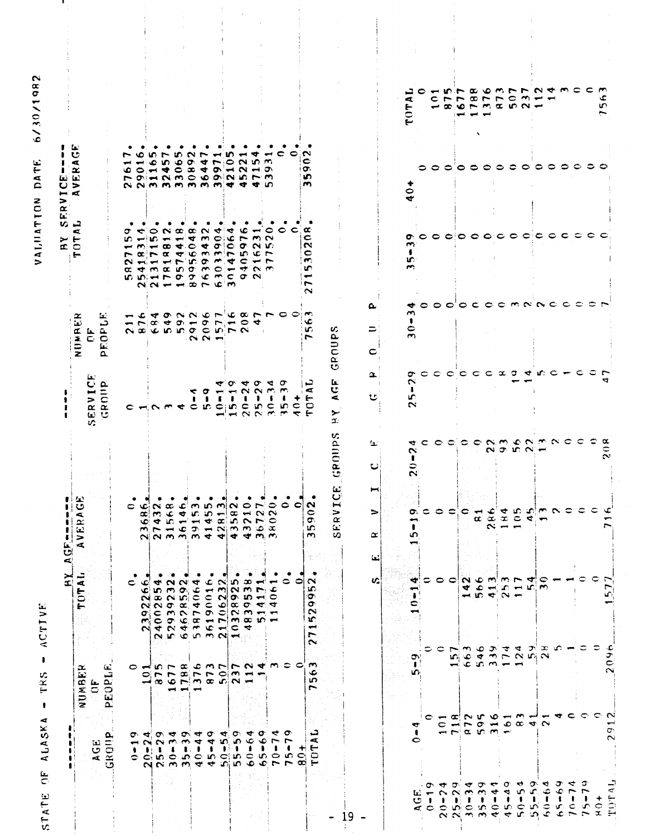STATE OF ALASKA - TRS - ACTIVE

VALUATION DATE 6/30/1982

|                                                                                                    |                                                                                                                                                   | ≍ّ                                                                                                                                                                                                                                                                    | Ĺ.<br>$\overline{G}$                                          |                                                                    |                                                                                                                                                                                                                                                                                                                                                                                                                                      | FRV<br>s,<br>Ř                                                                                                                                                                                                                                                                                                                                                                                          | $\mathbf{I}$<br>نعة<br>ပ<br>⊢                                                                                                       |                                                                                 |  |
|----------------------------------------------------------------------------------------------------|---------------------------------------------------------------------------------------------------------------------------------------------------|-----------------------------------------------------------------------------------------------------------------------------------------------------------------------------------------------------------------------------------------------------------------------|---------------------------------------------------------------|--------------------------------------------------------------------|--------------------------------------------------------------------------------------------------------------------------------------------------------------------------------------------------------------------------------------------------------------------------------------------------------------------------------------------------------------------------------------------------------------------------------------|---------------------------------------------------------------------------------------------------------------------------------------------------------------------------------------------------------------------------------------------------------------------------------------------------------------------------------------------------------------------------------------------------------|-------------------------------------------------------------------------------------------------------------------------------------|---------------------------------------------------------------------------------|--|
|                                                                                                    | NUMBER                                                                                                                                            | TOTAL                                                                                                                                                                                                                                                                 | AVERAGE                                                       |                                                                    | x<br>نعة                                                                                                                                                                                                                                                                                                                                                                                                                             | تہ ۔<br>ĸ<br>$\overline{5}$<br>. ←                                                                                                                                                                                                                                                                                                                                                                      | - 60<br>$\mathbf{c}$<br>$\blacksquare$<br>$\propto$<br>ί.<br>⋗<br>Æ                                                                 |                                                                                 |  |
| نتا<br>ت                                                                                           | $\overline{C}$                                                                                                                                    |                                                                                                                                                                                                                                                                       |                                                               | الطآ<br><b>ERVICI</b><br>GROUP<br>$\overline{v}$                   | Ъ.<br>د<br>NUMBI<br>CF<br>PEOPI                                                                                                                                                                                                                                                                                                                                                                                                      |                                                                                                                                                                                                                                                                                                                                                                                                         |                                                                                                                                     |                                                                                 |  |
| Ω,<br>GROU                                                                                         | PEOPLE                                                                                                                                            |                                                                                                                                                                                                                                                                       |                                                               |                                                                    |                                                                                                                                                                                                                                                                                                                                                                                                                                      | σ<br>m<br>⊷<br>$\sim$<br>œ                                                                                                                                                                                                                                                                                                                                                                              | -<br>۰                                                                                                                              |                                                                                 |  |
| $\blacksquare$<br>0.1100                                                                           |                                                                                                                                                   |                                                                                                                                                                                                                                                                       | اع ت                                                          |                                                                    |                                                                                                                                                                                                                                                                                                                                                                                                                                      | ↞<br>$\overline{\phantom{a}}$<br>$\sim$<br>$\blacktriangleleft$                                                                                                                                                                                                                                                                                                                                         | زياسها                                                                                                                              |                                                                                 |  |
| $\sim$                                                                                             |                                                                                                                                                   | ு<br>¢<br>28<br>239                                                                                                                                                                                                                                                   |                                                               |                                                                    |                                                                                                                                                                                                                                                                                                                                                                                                                                      |                                                                                                                                                                                                                                                                                                                                                                                                         |                                                                                                                                     |                                                                                 |  |
| ው ቁነው ቁ<br>$\sim$ $\sim$                                                                           | o din r a c m r r n d m c o<br>$\begin{array}{c} 0 & P & P & P & P & Q & Q \\ 0 & 0 & P & P & P & Q & Q \\ 0 & 0 & 0 & P & Q & Q & Q \end{array}$ | $\begin{smallmatrix} 240028541\\ 529392324\\ 646785924\\ 538740644\\ 21706633\\ 21706233\\ 10328925\\ 143928\\ 14174\\ 14061\\ 14061\\ 14061\\ 14061\\ 14061\\ 14061\\ 14061\\ 14061\\ 14061\\ 14061\\ 14061\\ 14061\\ 14061\\ 14061\\ 14061\\ 14061\\ 14061\\ 14061$ | $\begin{array}{c} \n 0 \\  0 \\  0 \\  0 \\  0\n \end{array}$ | CHAMECICIDE                                                        | しんすうことらりょう りつり<br>$\begin{array}{c} \negthinspace \rightarrow \end{array} \begin{array}{c} \negthinspace \rightarrow \end{array} \begin{array}{c} \negthinspace \rightarrow \end{array} \begin{array}{c} \negthinspace \rightarrow \end{array} \begin{array}{c} \negthinspace \rightarrow \end{array} \begin{array}{c} \negthinspace \rightarrow \end{array} \begin{array}{c} \negthinspace \rightarrow \end{array}$<br>NOCODO CONTN | $\circ$ $\alpha$ $\alpha$ $\alpha$ $\alpha$ $\rightarrow$ $\circ$<br><b>SHERMOR</b><br>$-$ 0 $-$ 0 $-$ 0 $-$ 0 $-$ 0 $-$ 0<br>$\boldsymbol{\Gamma} \boldsymbol{\alpha} \boldsymbol{\kappa} \boldsymbol{\alpha}$ and $\boldsymbol{\alpha} \boldsymbol{\kappa}$ is the $\boldsymbol{\alpha} \boldsymbol{\kappa}$<br>HHHNDOMECT<br>manomo wa wa<br><b>K WHFO O C MC ON</b><br>$N \sim -\infty \sim 6 \, m$ | $\mathbf{v} \sim$<br>ம<br>$Q = \blacktriangleleft$<br>ての1230692573<br>NNMMMMMM4450                                                  |                                                                                 |  |
|                                                                                                    |                                                                                                                                                   |                                                                                                                                                                                                                                                                       |                                                               |                                                                    |                                                                                                                                                                                                                                                                                                                                                                                                                                      |                                                                                                                                                                                                                                                                                                                                                                                                         |                                                                                                                                     |                                                                                 |  |
| $\sigma$ $\tau$<br>$\leftrightarrow$                                                               |                                                                                                                                                   |                                                                                                                                                                                                                                                                       |                                                               |                                                                    |                                                                                                                                                                                                                                                                                                                                                                                                                                      |                                                                                                                                                                                                                                                                                                                                                                                                         | m u                                                                                                                                 |                                                                                 |  |
| 4                                                                                                  |                                                                                                                                                   |                                                                                                                                                                                                                                                                       |                                                               | ← σ                                                                | N <sub>N</sub>                                                                                                                                                                                                                                                                                                                                                                                                                       |                                                                                                                                                                                                                                                                                                                                                                                                         | $\overline{\phantom{a}}$<br>$0 \sigma$ $4$<br>$\begin{array}{c} 0 & \text{if } \alpha \neq 0 \text{ if } \alpha \neq 0 \end{array}$ |                                                                                 |  |
| $\sigma$<br>4                                                                                      |                                                                                                                                                   |                                                                                                                                                                                                                                                                       |                                                               | $\blacksquare$                                                     |                                                                                                                                                                                                                                                                                                                                                                                                                                      | ٠                                                                                                                                                                                                                                                                                                                                                                                                       | $\overline{\phantom{a}}$                                                                                                            |                                                                                 |  |
| $\blacktriangledown$<br>In.                                                                        |                                                                                                                                                   |                                                                                                                                                                                                                                                                       |                                                               |                                                                    |                                                                                                                                                                                                                                                                                                                                                                                                                                      |                                                                                                                                                                                                                                                                                                                                                                                                         | $\sim$                                                                                                                              |                                                                                 |  |
| ō٦<br>S.                                                                                           |                                                                                                                                                   |                                                                                                                                                                                                                                                                       |                                                               | ຕ                                                                  | $\rightarrow$ 0                                                                                                                                                                                                                                                                                                                                                                                                                      | ۰                                                                                                                                                                                                                                                                                                                                                                                                       | ۱n                                                                                                                                  |                                                                                 |  |
| ₹<br>e                                                                                             | $\sim$                                                                                                                                            |                                                                                                                                                                                                                                                                       |                                                               | ₩<br>ı                                                             |                                                                                                                                                                                                                                                                                                                                                                                                                                      | $\sim$ $\sim$                                                                                                                                                                                                                                                                                                                                                                                           | <b>NO</b>                                                                                                                           |                                                                                 |  |
| σ<br>$\bullet$<br>$\bullet$                                                                        |                                                                                                                                                   |                                                                                                                                                                                                                                                                       |                                                               | o<br>$\sim$<br>က                                                   | ෑ                                                                                                                                                                                                                                                                                                                                                                                                                                    | <b>THE</b>                                                                                                                                                                                                                                                                                                                                                                                              | ₹ →<br>$-5$                                                                                                                         |                                                                                 |  |
|                                                                                                    |                                                                                                                                                   |                                                                                                                                                                                                                                                                       |                                                               | ₹<br>$\sim$<br>ı<br>$\mathbf C$<br>$-0.00$                         |                                                                                                                                                                                                                                                                                                                                                                                                                                      | $\circ$<br>$\sim$                                                                                                                                                                                                                                                                                                                                                                                       |                                                                                                                                     |                                                                                 |  |
| ₹<br>ŧ                                                                                             |                                                                                                                                                   |                                                                                                                                                                                                                                                                       | ≎                                                             | σ<br>$\sim$<br>$\sim$                                              |                                                                                                                                                                                                                                                                                                                                                                                                                                      |                                                                                                                                                                                                                                                                                                                                                                                                         | c                                                                                                                                   |                                                                                 |  |
| $\sigma$<br>r<br>۰                                                                                 |                                                                                                                                                   | っ                                                                                                                                                                                                                                                                     | $\mathbf{\hat{c}}$                                            | ٠<br>n c                                                           |                                                                                                                                                                                                                                                                                                                                                                                                                                      | $\circ$ $\circ$                                                                                                                                                                                                                                                                                                                                                                                         |                                                                                                                                     |                                                                                 |  |
| ب<br>Æ<br><b>DD</b><br>┿╡                                                                          | m<br>٠<br>m<br>$\overline{\phantom{0}}$                                                                                                           | ∾<br>u)<br>ಾ<br>۰<br>$\sim$<br>۲Ċ<br>بسيه<br>÷<br>$\sim$                                                                                                                                                                                                              | $\sim$<br>$\mathbf{5}$<br>E.<br>$\sim$                        | ټ<br>⊄<br>ᡛ<br>$\circ$<br>マト                                       | m<br>۰c<br>w.                                                                                                                                                                                                                                                                                                                                                                                                                        | $\alpha$<br>c<br>$\sim$<br>c<br>$\overline{\phantom{a}}$<br>m<br>∼<br>$\sim$                                                                                                                                                                                                                                                                                                                            | $\mathbf{C}$ : $\mathbf{C}$<br>∘<br>iG.<br>зņ,<br>m                                                                                 |                                                                                 |  |
|                                                                                                    |                                                                                                                                                   |                                                                                                                                                                                                                                                                       | SERVICE                                                       | Ŀ.<br>じ<br>$\blacktriangleleft$<br>➤<br>$\infty$<br>GROUPS         | v,<br>GROUP                                                                                                                                                                                                                                                                                                                                                                                                                          |                                                                                                                                                                                                                                                                                                                                                                                                         |                                                                                                                                     |                                                                                 |  |
|                                                                                                    |                                                                                                                                                   |                                                                                                                                                                                                                                                                       |                                                               |                                                                    |                                                                                                                                                                                                                                                                                                                                                                                                                                      |                                                                                                                                                                                                                                                                                                                                                                                                         |                                                                                                                                     |                                                                                 |  |
|                                                                                                    |                                                                                                                                                   | U.                                                                                                                                                                                                                                                                    | ⇒<br>$\propto$<br>ثعا                                         | $\bf \alpha$<br>ت                                                  | c                                                                                                                                                                                                                                                                                                                                                                                                                                    |                                                                                                                                                                                                                                                                                                                                                                                                         |                                                                                                                                     |                                                                                 |  |
|                                                                                                    |                                                                                                                                                   |                                                                                                                                                                                                                                                                       |                                                               |                                                                    |                                                                                                                                                                                                                                                                                                                                                                                                                                      |                                                                                                                                                                                                                                                                                                                                                                                                         |                                                                                                                                     |                                                                                 |  |
|                                                                                                    |                                                                                                                                                   |                                                                                                                                                                                                                                                                       |                                                               |                                                                    |                                                                                                                                                                                                                                                                                                                                                                                                                                      |                                                                                                                                                                                                                                                                                                                                                                                                         |                                                                                                                                     |                                                                                 |  |
| ₩<br>$\ddot{\phantom{a}}$<br>င                                                                     | ۱O۰                                                                                                                                               | ₩                                                                                                                                                                                                                                                                     | o<br>ഗ                                                        | ᢦ<br>$\sim$<br>1<br>ю<br>$\sim$<br>┭<br>$\sim$<br>1<br>≎<br>$\sim$ | ◆<br>ొ<br>۰<br>$\bullet$<br>$\sim$                                                                                                                                                                                                                                                                                                                                                                                                   | o.<br>m<br>$\bullet$<br>w.<br>$\sim$                                                                                                                                                                                                                                                                                                                                                                    | 0<br>₩                                                                                                                              | A<br>TOT.                                                                       |  |
| $\bullet$                                                                                          |                                                                                                                                                   |                                                                                                                                                                                                                                                                       |                                                               |                                                                    |                                                                                                                                                                                                                                                                                                                                                                                                                                      |                                                                                                                                                                                                                                                                                                                                                                                                         |                                                                                                                                     |                                                                                 |  |
| c                                                                                                  | င္ င                                                                                                                                              | coon om                                                                                                                                                                                                                                                               | ∘                                                             |                                                                    |                                                                                                                                                                                                                                                                                                                                                                                                                                      |                                                                                                                                                                                                                                                                                                                                                                                                         |                                                                                                                                     | $c \vdash r$<br>$ \infty$ $\infty$ $\sim$ $\infty$ $\infty$ $\infty$ $\infty$   |  |
|                                                                                                    | $\overline{\phantom{0}}$<br>LΩ,<br>$\blacktriangleright$                                                                                          |                                                                                                                                                                                                                                                                       |                                                               | c                                                                  |                                                                                                                                                                                                                                                                                                                                                                                                                                      |                                                                                                                                                                                                                                                                                                                                                                                                         | っ                                                                                                                                   |                                                                                 |  |
| $ \alpha$ $\alpha$ $\alpha$ $\alpha$ $ \alpha$ $-$<br>$\rightarrow$<br>$m \sim \alpha$ in $m \sim$ |                                                                                                                                                   |                                                                                                                                                                                                                                                                       | ⊂                                                             |                                                                    | င                                                                                                                                                                                                                                                                                                                                                                                                                                    |                                                                                                                                                                                                                                                                                                                                                                                                         |                                                                                                                                     | -                                                                               |  |
|                                                                                                    |                                                                                                                                                   |                                                                                                                                                                                                                                                                       | $\rightarrow$                                                 |                                                                    | C                                                                                                                                                                                                                                                                                                                                                                                                                                    |                                                                                                                                                                                                                                                                                                                                                                                                         |                                                                                                                                     | $\rightarrow$                                                                   |  |
|                                                                                                    | $\bullet$                                                                                                                                         | 464                                                                                                                                                                                                                                                                   | $\frac{4}{3}$                                                 |                                                                    | $\mathbf C$                                                                                                                                                                                                                                                                                                                                                                                                                          |                                                                                                                                                                                                                                                                                                                                                                                                         |                                                                                                                                     | $\infty \sim \tau$                                                              |  |
|                                                                                                    |                                                                                                                                                   | 25                                                                                                                                                                                                                                                                    | 184                                                           |                                                                    | x                                                                                                                                                                                                                                                                                                                                                                                                                                    |                                                                                                                                                                                                                                                                                                                                                                                                         |                                                                                                                                     |                                                                                 |  |
|                                                                                                    | $6899 - 29$<br>$689 - 29$                                                                                                                         | $\sim$ $\sim$<br>$\overline{\phantom{a}}$<br>$\blacksquare$                                                                                                                                                                                                           | $\rightarrow$                                                 | $\alpha$ or $\alpha$                                               | σ                                                                                                                                                                                                                                                                                                                                                                                                                                    |                                                                                                                                                                                                                                                                                                                                                                                                         |                                                                                                                                     | $\bullet$                                                                       |  |
|                                                                                                    |                                                                                                                                                   | ਚ<br>uni                                                                                                                                                                                                                                                              |                                                               |                                                                    | ▿                                                                                                                                                                                                                                                                                                                                                                                                                                    |                                                                                                                                                                                                                                                                                                                                                                                                         |                                                                                                                                     |                                                                                 |  |
| $\overline{\phantom{a}}$<br>$\sigma - \sigma \propto \sigma \propto 0$                             | $\infty$<br>$\sim$                                                                                                                                | ∘<br>$\sim$                                                                                                                                                                                                                                                           | $C$ $\frac{d}{dx}$ $\frac{d}{dx}$ $\frac{d}{dx}$              | codoonmento                                                        | OOOCOOMNACC<br>u: C                                                                                                                                                                                                                                                                                                                                                                                                                  |                                                                                                                                                                                                                                                                                                                                                                                                         | 00000000                                                                                                                            | $\overline{\mathbf{r}}$ and $\overline{\mathbf{r}}$ and $\overline{\mathbf{r}}$ |  |
| ↽                                                                                                  | U.                                                                                                                                                |                                                                                                                                                                                                                                                                       |                                                               |                                                                    |                                                                                                                                                                                                                                                                                                                                                                                                                                      |                                                                                                                                                                                                                                                                                                                                                                                                         |                                                                                                                                     |                                                                                 |  |
| c                                                                                                  |                                                                                                                                                   |                                                                                                                                                                                                                                                                       |                                                               |                                                                    |                                                                                                                                                                                                                                                                                                                                                                                                                                      | $\circ\circ\circ\circ\circ\circ\circ\circ\circ\circ\circ\circ$                                                                                                                                                                                                                                                                                                                                          | $\circ \circ \circ$                                                                                                                 | LO - MIN & Q M N N N & M C C                                                    |  |
| C                                                                                                  |                                                                                                                                                   |                                                                                                                                                                                                                                                                       | ٥                                                             | ం                                                                  | ≏                                                                                                                                                                                                                                                                                                                                                                                                                                    |                                                                                                                                                                                                                                                                                                                                                                                                         |                                                                                                                                     |                                                                                 |  |
| c                                                                                                  | <u> =</u>                                                                                                                                         |                                                                                                                                                                                                                                                                       |                                                               |                                                                    |                                                                                                                                                                                                                                                                                                                                                                                                                                      |                                                                                                                                                                                                                                                                                                                                                                                                         |                                                                                                                                     |                                                                                 |  |
| $\sim$                                                                                             | $\frac{1}{2}$                                                                                                                                     |                                                                                                                                                                                                                                                                       |                                                               | α<br>$\sim$                                                        |                                                                                                                                                                                                                                                                                                                                                                                                                                      |                                                                                                                                                                                                                                                                                                                                                                                                         |                                                                                                                                     | C<br>ى                                                                          |  |
|                                                                                                    |                                                                                                                                                   |                                                                                                                                                                                                                                                                       |                                                               |                                                                    |                                                                                                                                                                                                                                                                                                                                                                                                                                      |                                                                                                                                                                                                                                                                                                                                                                                                         |                                                                                                                                     |                                                                                 |  |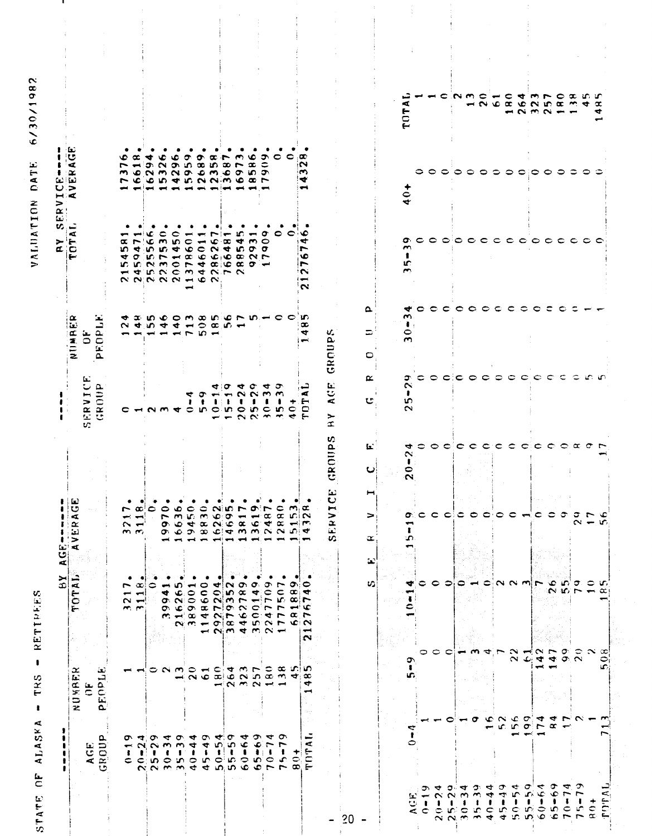STATE OF ALASKA - TRS - RETIREES

VALUATION DATE 6/30/1982

| NUMBER<br>pEOPLE<br>$\tilde{\mathbf{u}}$                 | ×,<br>$\overline{a}$<br>TOT                                                                                                          |                                                                         |                                               |                                                             |                                                                     |                                                  |                             |
|----------------------------------------------------------|--------------------------------------------------------------------------------------------------------------------------------------|-------------------------------------------------------------------------|-----------------------------------------------|-------------------------------------------------------------|---------------------------------------------------------------------|--------------------------------------------------|-----------------------------|
|                                                          |                                                                                                                                      | ثعة<br>$\bar{\mathbf{c}}$<br>$\blacktriangleleft$<br>$\frac{1}{2}$<br>> |                                               | ≃<br>NUMBEL                                                 | ×.<br>$\overline{\mathbf{r}}$                                       | AGE<br>$\mathbf{E}$<br>∍<br>Æ                    |                             |
|                                                          |                                                                                                                                      |                                                                         | SERVICE<br>GROUP                              | ЪŽ<br>ت<br>PROPI<br>$\ddot{\sigma}$                         |                                                                     |                                                  |                             |
|                                                          |                                                                                                                                      |                                                                         |                                               |                                                             |                                                                     | ١c<br>∼<br>m<br>∼                                |                             |
|                                                          | ٠<br>∼<br>$\sim$ $-1$<br>m, m                                                                                                        | œ<br>÷<br>$\sim$ $-$<br>$m_{1}m_{2}$                                    | c<br>$\overline{\phantom{0}}$                 |                                                             | œ<br>w.<br>₩<br><b>MENMONGOOOO</b><br><b>HURCMANNA</b><br>22222122  | $\infty$                                         |                             |
|                                                          | œ<br>င<br>↤                                                                                                                          | $\bullet$<br>$\overline{\phantom{a}}$                                   |                                               |                                                             | ۱Œ<br>$\Gamma$ $\mathfrak{c}$<br><b>40546</b><br>$\sigma$ in $\sim$ | ₹<br>$-5$<br>0.0500<br>CCD TONNMOON<br>یس پس ایس |                             |
|                                                          |                                                                                                                                      | $\circ$<br>r<br>o.<br>o.                                                | $\sim$ $\sim$                                 | $\overline{\phantom{0}}$                                    | င<br>$\mathbf{m}$                                                   | ۱¢<br>$\sim$                                     |                             |
|                                                          | $\sigma$ $c$<br>$\mathcal{O} = \mathcal{O} \times \mathcal{O} \times \mathcal{O}$                                                    | $\bullet$<br>$\mathbf{m}$<br>$\bullet$<br>$\bullet$                     | ູ                                             |                                                             | $\bullet$<br>$\omega$                                               | ю<br>G.<br>$\leftarrow$                          |                             |
|                                                          |                                                                                                                                      | $\bullet$<br>Wτ.<br>$\blacktriangleleft$<br><b>D</b>                    | 4<br>Ł                                        | $-5$                                                        | $\overline{\phantom{0}}$<br>$+ \alpha c$                            | 59<br>$\rightarrow$                              |                             |
|                                                          |                                                                                                                                      | $\overline{\mathbf{3}}$<br>$\infty$<br>$\infty$                         | σ<br>$\bullet$<br>$\sim$ 10                   |                                                             | $\overline{\phantom{a}}$                                            | ᡐ<br>$\infty$<br>$\bullet$                       |                             |
|                                                          |                                                                                                                                      | N.<br>Ó<br>$\sim$<br>$\mathbf{C}$                                       | 4<br>ı<br>$\circ$                             | $\overline{\phantom{a}}$                                    | $\mathbf c$<br>0.99                                                 | m<br>$\sim$                                      |                             |
|                                                          | $\sigma$ $\alpha$ $\sim$ $\sigma$ $\alpha$ $\sigma$ $\sim$<br>$\leftarrow$ $\alpha$ $\omega$ $\alpha$ $\alpha$ $\alpha$              | w.<br>σ<br>$\mathbf C$                                                  | Ø<br>1<br>in.                                 | $\infty$ in $\leftarrow$                                    | ٠<br>$\overline{\mathbf{a}}$<br>$C_1$ $C_2$ $C_3$ $C_4$             | $\infty$<br>КO.                                  |                             |
|                                                          |                                                                                                                                      | ∼<br>$\alpha$<br>7 <sub>m</sub>                                         | ◆<br>$\sim$<br>$20 -$                         |                                                             | иC.<br>4<br>ъc.                                                     | $\sim$<br>$\overline{ }$<br>$\bullet$            |                             |
|                                                          | $\sigma$ $\sigma$<br>$\blacktriangledown$                                                                                            | o<br>۱Ç.                                                                | ¢<br>$\tilde{\mathbf{r}}$                     |                                                             | يبب<br>$\bullet$<br>$\sigma$                                        | ھ<br>$\bullet$<br>in.                            |                             |
|                                                          | କ<br>$\bullet$<br>$-1$                                                                                                               | œ<br>÷                                                                  | ≖<br>$\mathbf{r}$<br>ı<br>25.0                |                                                             | $\pmb{\sigma}$<br>$\circ$<br>σ                                      | ᡔ<br>$\bullet$<br>ه.                             |                             |
|                                                          | ∼<br>$\overline{ }$                                                                                                                  | c<br>$\alpha$<br>$\propto$<br>$m \propto \alpha$                        | ూ<br>$\sim$<br>٠<br>$\frac{15}{7}$            | C                                                           | $\circ$                                                             | 0                                                |                             |
|                                                          | : م<br>اسو                                                                                                                           |                                                                         | ٠<br>$\circ$<br>₹                             | $\bullet$                                                   | ∊                                                                   | ∊                                                |                             |
| o o n o u c q n v c x n lo<br>o o n o u c q n v c x n lo | ∘<br>5.887<br>٦C<br>$\alpha$ r<br>$\alpha$ m $\rightarrow$ o $\alpha$ $\rightarrow$ m $\alpha$ $\rightarrow$ m $\alpha$<br>پيو<br>'N | $m, \alpha$<br>ini N<br>$\rightarrow$<br>山戸                             | د ر<br>⋖<br>$\ddot{}$<br>Ē                    | u.<br>$\infty$<br>$\blacktriangledown$<br>$\longrightarrow$ | ៴<br>ෑ<br>r<br>۰<br>≔<br>$\sim$<br>⊶<br>$\sim$                      | œ<br>iΝ<br>im.<br>₩<br>ىپ                        |                             |
|                                                          |                                                                                                                                      | SdilDat<br>ERVICE<br>s.                                                 | E)<br>$\bar{\mathbf{z}}$<br>≻<br>$\mathbf{x}$ | GROUPS                                                      |                                                                     |                                                  |                             |
|                                                          | $\mathbf{u}$<br>w                                                                                                                    | L.<br>ပ<br>><br>$\propto$                                               | $\propto$<br>U                                | Δ<br>$\Rightarrow$<br>0                                     |                                                                     |                                                  |                             |
|                                                          |                                                                                                                                      |                                                                         |                                               |                                                             |                                                                     |                                                  |                             |
| 1<br>u.                                                  | ₩<br>ວາ                                                                                                                              | ↔<br>$\sim$<br>$\ddot{\phantom{a}}$<br>0<br>u<br>ഗ                      | σ<br>$\sim$<br>m<br>$\sim$                    | ≁<br>$\sim$<br>$\ddot{\bullet}$<br>$\bullet$<br>$\sim$      | $\sigma$ c<br>m<br>$\mathbf{f}$<br>lΓ.<br>$\sim$                    | $40+$                                            | ⋖<br>TOT                    |
|                                                          | っ                                                                                                                                    |                                                                         | ≎                                             | င                                                           |                                                                     | ခ                                                |                             |
|                                                          | ∘<br>$\circ$ $\circ$                                                                                                                 | $\circ$ $\circ$                                                         |                                               |                                                             |                                                                     | $\circ$                                          |                             |
|                                                          |                                                                                                                                      |                                                                         |                                               |                                                             |                                                                     |                                                  | c                           |
|                                                          | ≎                                                                                                                                    | C<br>0: C C C i C C C C C H C C                                         | $\circ$ $\circ$ $\circ$ $\circ$               | $\circ \circ \circ \circ \circ \circ$                       | .                                                                   |                                                  | NMCHCTM                     |
|                                                          | m                                                                                                                                    | $\mathbf C$                                                             |                                               |                                                             |                                                                     |                                                  |                             |
|                                                          |                                                                                                                                      | c                                                                       |                                               |                                                             |                                                                     | $\bullet$                                        |                             |
|                                                          |                                                                                                                                      | c                                                                       |                                               |                                                             |                                                                     | ≎                                                |                             |
|                                                          | $\sim$ $\sim$ $\sim$ $\sim$ $\sim$<br>$\mathbf{N}$                                                                                   | €                                                                       | $\circ \circ \circ \circ$                     | $\mathbf{C}$                                                |                                                                     | $\circ$                                          | <b>ANGEGNEEMA</b><br>- 232- |
|                                                          |                                                                                                                                      | C                                                                       |                                               | $\circ$ $\circ$                                             |                                                                     | ಂ                                                |                             |
| $\overline{\phantom{a}}$                                 | $\rightarrow \sim \sim \sim$<br>$\alpha$ $\omega$ and $\alpha$ $\alpha$                                                              | $\mathbf{\hat{c}}$                                                      |                                               |                                                             |                                                                     | $\circ$                                          |                             |
| $\overline{\phantom{a}}$                                 |                                                                                                                                      | င                                                                       | -C                                            | €                                                           |                                                                     |                                                  |                             |
|                                                          | ဲဝေးကို                                                                                                                              | ె                                                                       | €                                             |                                                             |                                                                     | $\circ$                                          |                             |
|                                                          | တ္ ေ ဟ<br>$N$ to $\Gamma$ $\rightarrow$<br>≎                                                                                         | $\sim \alpha$ $\sigma$<br>$\sigma$ $\sim$<br>$\sim -5$                  | €                                             |                                                             |                                                                     | ≎                                                | $P$ $\alpha$ $n$ $n$        |
|                                                          | $\propto x$                                                                                                                          |                                                                         | மு மு                                         |                                                             |                                                                     | 0                                                | $\alpha$                    |
|                                                          | $\alpha$<br>⇨                                                                                                                        |                                                                         |                                               |                                                             |                                                                     |                                                  | ¢                           |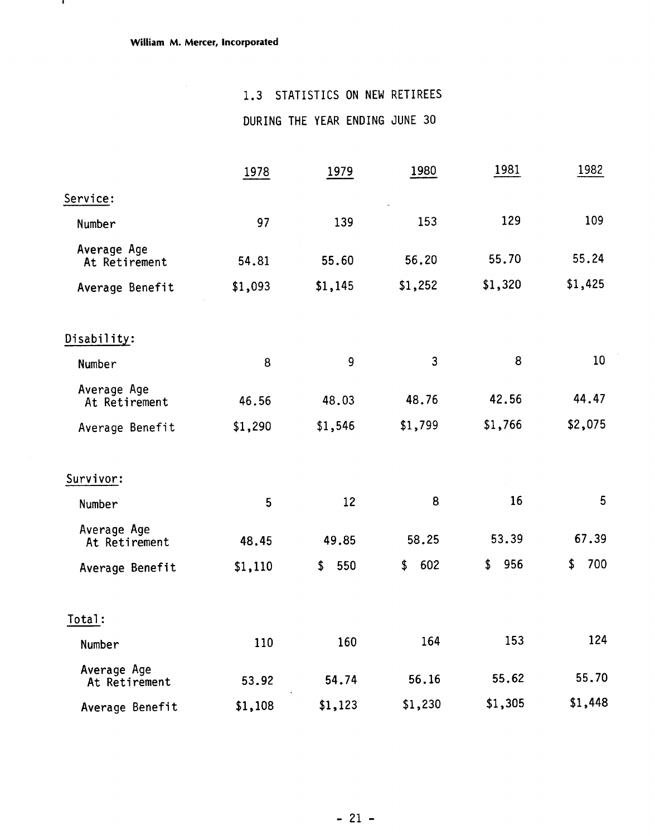$\mathbf{I}$ 

### 1.3 STATISTICS ON NEW RETIREES

DURING THE YEAR ENDING JUNE 30

|                              | 1978    | 1979           | 1980      | 1981      | 1982      |
|------------------------------|---------|----------------|-----------|-----------|-----------|
| Service:                     |         |                |           |           |           |
| Number                       | 97      | 139            | 153       | 129       | 109       |
| Average Age<br>At Retirement | 54.81   | 55.60          | 56.20     | 55.70     | 55.24     |
| Average Benefit              | \$1,093 | \$1,145        | \$1,252   | \$1,320   | \$1,425   |
| Disability:                  |         |                |           |           |           |
| Number                       | 8       | $\overline{9}$ | 3         | 8         | 10        |
| Average Age<br>At Retirement | 46.56   | 48.03          | 48.76     | 42.56     | 44.47     |
| Average Benefit              | \$1,290 | \$1,546        | \$1,799   | \$1,766   | \$2,075   |
| Survivor:                    |         |                |           |           |           |
| Number                       | 5       | 12             | 8         | 16        | 5         |
| Average Age<br>At Retirement | 48.45   | 49.85          | 58.25     | 53.39     | 67.39     |
| Average Benefit              | \$1,110 | 550<br>\$      | 602<br>\$ | 956<br>\$ | 700<br>\$ |
| Total:                       |         |                |           |           |           |
| Number                       | 110     | 160            | 164       | 153       | 124       |
| Average Age<br>At Retirement | 53.92   | 54.74          | 56.16     | 55.62     | 55.70     |
| Average Benefit              | \$1,108 | \$1,123        | \$1,230   | \$1,305   | \$1,448   |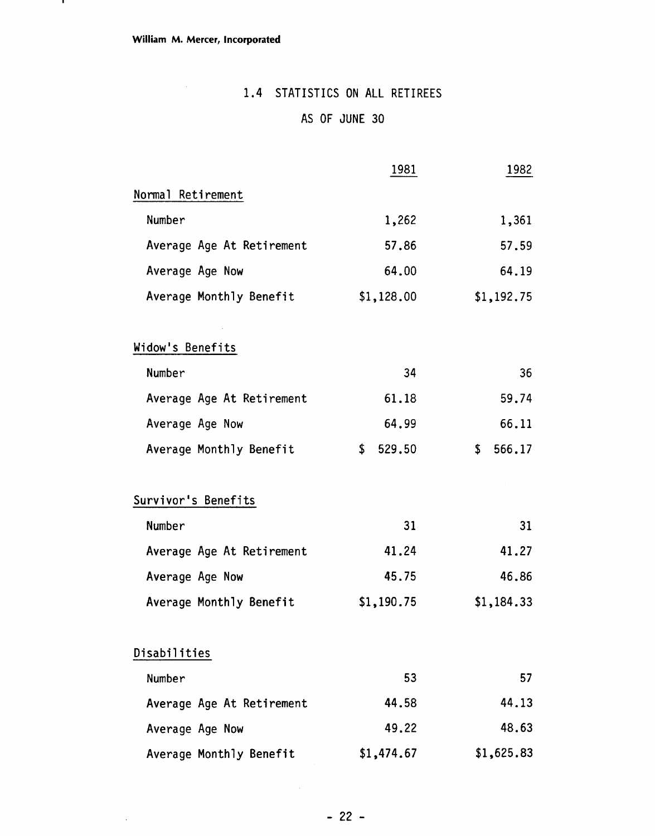$\mathbf{I}$ 

# 1.4 STATISTICS ON ALL RETIREES

## AS OF JUNE 30

|                           | 1981         | 1982         |
|---------------------------|--------------|--------------|
| Normal Retirement         |              |              |
| Number                    | 1,262        | 1,361        |
| Average Age At Retirement | 57.86        | 57.59        |
| Average Age Now           | 64.00        | 64.19        |
| Average Monthly Benefit   | \$1,128.00   | \$1,192.75   |
| Widow's Benefits          |              |              |
| Number                    | 34           | 36           |
| Average Age At Retirement | 61.18        | 59.74        |
| Average Age Now           | 64.99        | 66.11        |
| Average Monthly Benefit   | \$<br>529.50 | \$<br>566.17 |
| Survivor's Benefits       |              |              |
| Number                    | 31           | 31           |
| Average Age At Retirement | 41.24        | 41.27        |
| Average Age Now           | 45.75        | 46.86        |
| Average Monthly Benefit   | \$1,190.75   | \$1,184.33   |
| Disabilities              |              |              |
| Number                    | 53           | 57           |
| Average Age At Retirement | 44.58        | 44.13        |
| Average Age Now           | 49.22        | 48.63        |
| Average Monthly Benefit   | \$1,474.67   | \$1,625.83   |

 $\bar{z}$ 

 $\sim$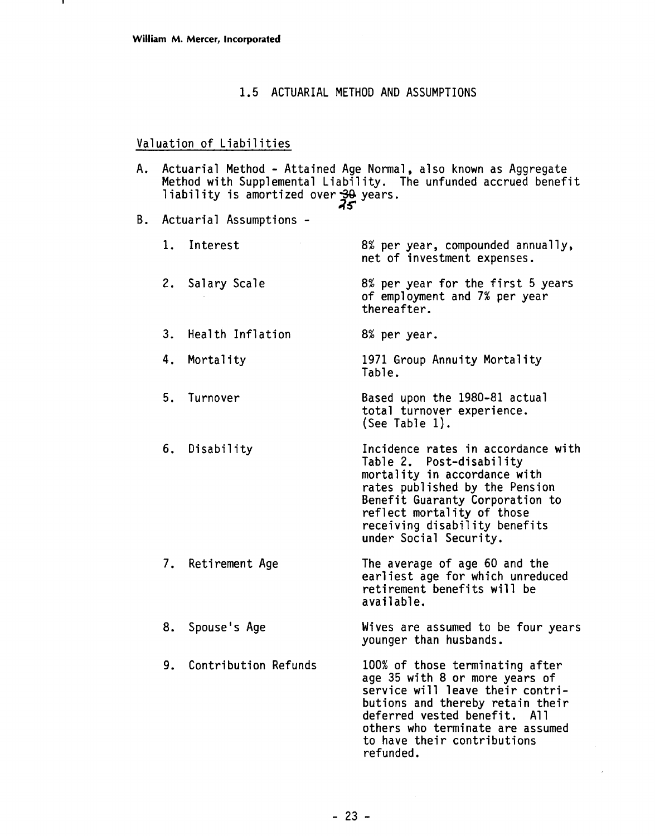#### 1.5 ACTUARIAL METHOD AND ASSUMPTIONS

#### Valuation of Liabilities

- A. Actuarial Method Attained Age Normal, also known as Aggregate Method with Supplemental Liability. The unfunded accrued benefit liability is amortized over 30 years.
- B. Actuarial Assumptions
	- 1. Interest 2. Salary Scale 8% per year, compounded annually, net of investment expenses. 8% per year for the first 5 years of employment and 7% per year

thereafter.

8% per year.

- 3. Health Inflation
- 4. Mortality 1971 Group Annuity Mortality Table.
- 5. Turnover Based upon the 1980-81 actual total turnover experience. (See Table 1).
- 6. Disability Incidence rates in accordance with Table 2. Post-disabil ity mortality in accordance with rates published by the Pension Benefit Guaranty Corporation to reflect mortality of those

receiving disability benefits

- 7. Retirement Age under Social Security. The average of age 60 and the earliest age for which unreduced retirement benefits will be
- 8. Spouse's Age Wives are assumed to be four years younger than husbands.

available.

9. Contribution Refunds 100% of those terminating after age 35 with 8 or more years of service will leave their contributions and thereby retain their deferred vested benefit. All others who terminate are assumed to have their contributions refunded .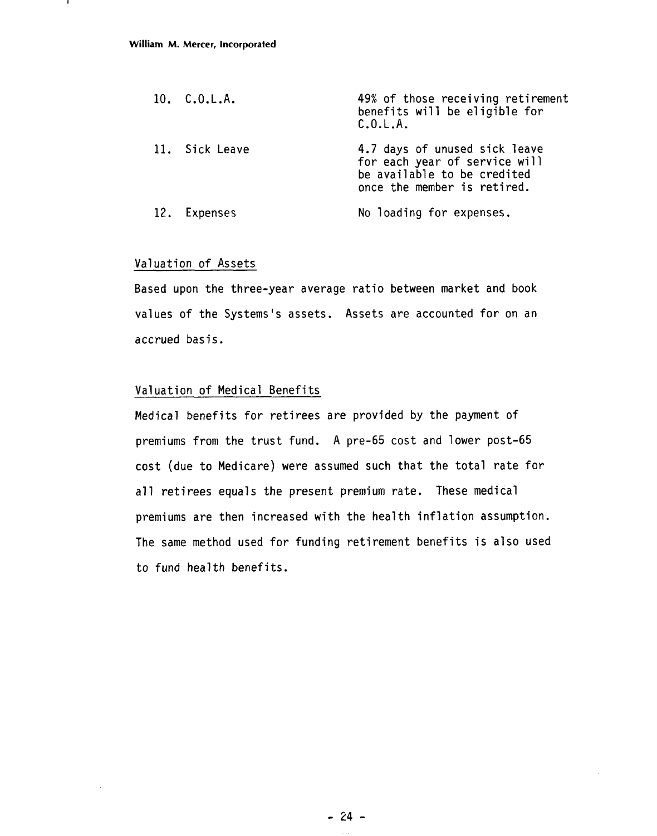| 10. C.0.L.A.   | 49% of those receiving retirement<br>benefits will be eligible for<br>C.0.L.A.                                               |
|----------------|------------------------------------------------------------------------------------------------------------------------------|
| 11. Sick Leave | 4.7 days of unused sick leave<br>for each year of service will<br>be available to be credited<br>once the member is retired. |
| 12. Expenses   | No loading for expenses.                                                                                                     |

#### Valuation of Assets

Based upon the three-year average ratio between market and book values of the Systems's assets. Assets are accounted for on an accrued basis.

#### Valuation of Medical Benefits

Medical benefits for retirees are provided by the payment of premiums from the trust fund. A pre-65 cost and lower post-65 cost (due to Medicare) were assumed such that the total rate for all retirees equals the present premium rate. These medical premiums are then increased with the health inflation assumption. The same method used for funding retirement benefits is also used to fund health benefits.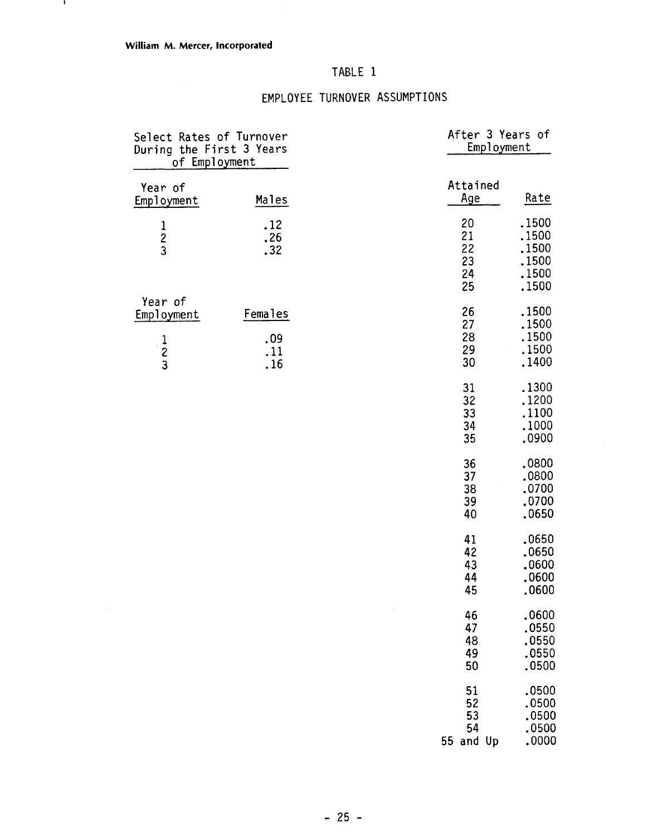- 11

### TABLE 1

### EMPLOYEE TURNOVER ASSUMPTIONS

| Select Rates of Turnover<br>During the First 3 Years<br>of Employment |                              | After 3 Years of<br>Employment    |                                                    |
|-----------------------------------------------------------------------|------------------------------|-----------------------------------|----------------------------------------------------|
| Year of<br>Employment                                                 | Males                        | Attained<br>Age                   | Rate                                               |
| $\frac{1}{2}$                                                         | .12<br>.26<br>.32            | 20<br>21<br>22<br>23<br>24<br>25  | .1500<br>.1500<br>.1500<br>.1500<br>.1500<br>.1500 |
| Year of<br>Employment<br>$\begin{array}{c} 1 \\ 2 \\ 3 \end{array}$   | Females<br>.09<br>.11<br>.16 | 26<br>27<br>28<br>29<br>30        | .1500<br>.1500<br>.1500<br>.1500<br>.1400          |
|                                                                       |                              | 31<br>32<br>33<br>34<br>35        | .1300<br>.1200<br>.1100<br>.1000<br>.0900          |
|                                                                       |                              | 36<br>37<br>38<br>39<br>40        | .0800<br>.0800<br>.0700<br>.0700<br>.0650          |
|                                                                       |                              | 41<br>42<br>43<br>44<br>45        | .0650<br>.0650<br>.0600<br>.0600<br>.0600          |
|                                                                       |                              | 46<br>47<br>48<br>49<br>50        | .0600<br>.0550<br>.0550<br>.0550<br>.0500          |
|                                                                       |                              | 51<br>52<br>53<br>54<br>55 and Up | .0500<br>.0500<br>.0500<br>.0500<br>.0000          |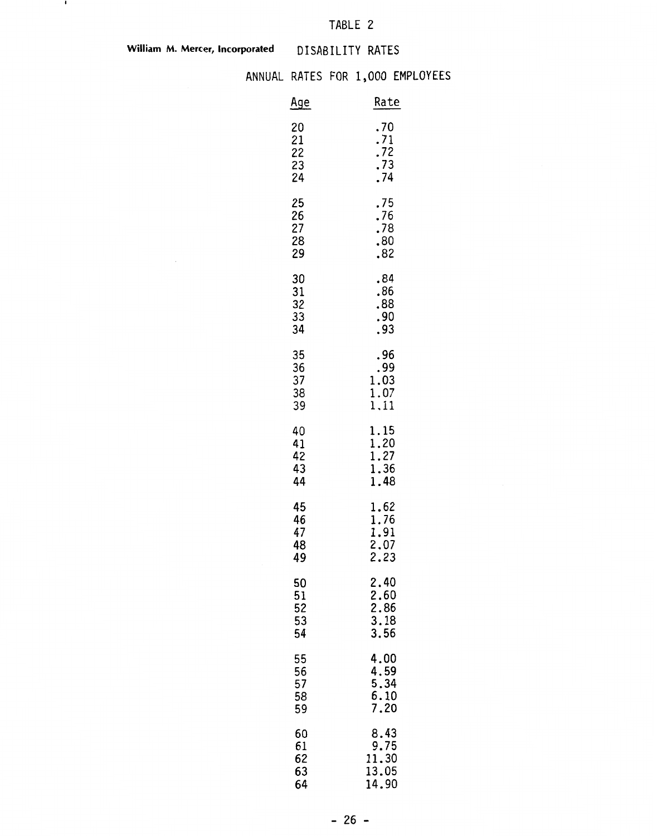### TABLE 2

William M. Mercer, Incorporated **DISABILITY RATES** 

 $\mathbf{r}$ 

### ANNUAL RATES FOR 1,000 EMPLOYEES

| <u>Age</u>                              | Rate                                         |
|-----------------------------------------|----------------------------------------------|
| 20<br>21<br>$\frac{22}{23}$<br>23<br>24 | $.70$<br>$.71$<br>$.72$<br>$.73$<br>$.74$    |
| 25<br>26<br>27<br>28<br>29              | .75<br>.76<br>.78<br>.80<br>.82              |
| 30<br>31<br>32<br>33<br>34              | .84<br>.86<br>.88<br>.90<br>.93              |
| 35<br>36<br>37<br>38<br>39              | .96<br>.99<br>1.03<br>1.07<br>1.11           |
| 40<br>41<br>42<br>43<br>44              | 1.15<br>1.20<br>1.27<br>1.36<br>1.48         |
| 45<br>46<br>47<br>48<br>49              | 1.62<br>1.76<br>1.91<br>2.07<br>2.23         |
| 50<br>51<br>52<br>53<br>54              | 2.40<br>2.60<br>2.86<br>2.86<br>3.18<br>3.56 |
| 55<br>56<br>57<br>58<br>59              | 4.00<br>4.59<br>5.34<br>6.10<br>7.20         |
| 60<br>$61$<br>$62$<br>$63$<br>64        | 8.43<br>9.75<br>11.30<br>13.05<br>14.90      |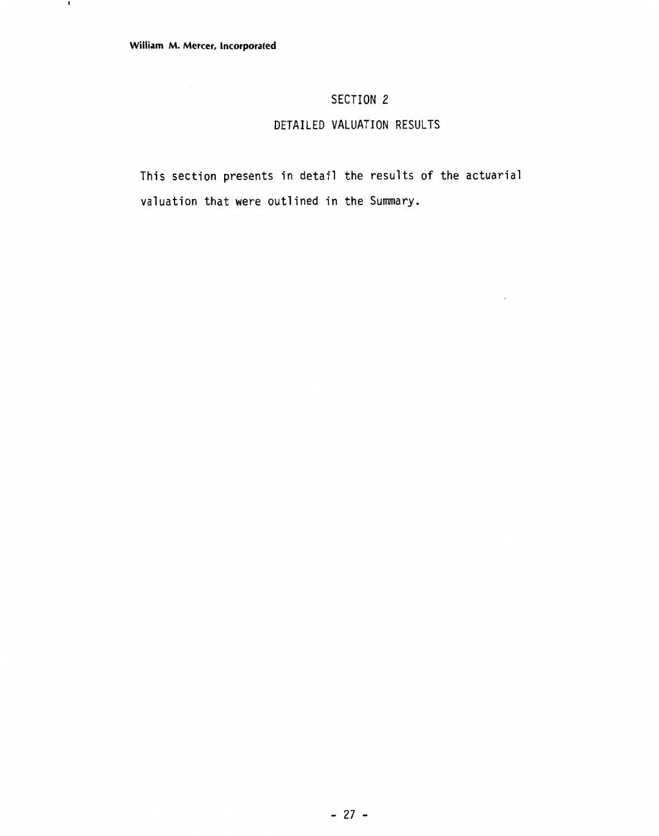$\mathbf{r}$ 

### **SECTION 2**

### **DETAILED VALUATION RESULTS**

 $\overline{\phantom{a}}$ 

This section presents in detail the results of the actuarial valuation that were outlined in the Summary.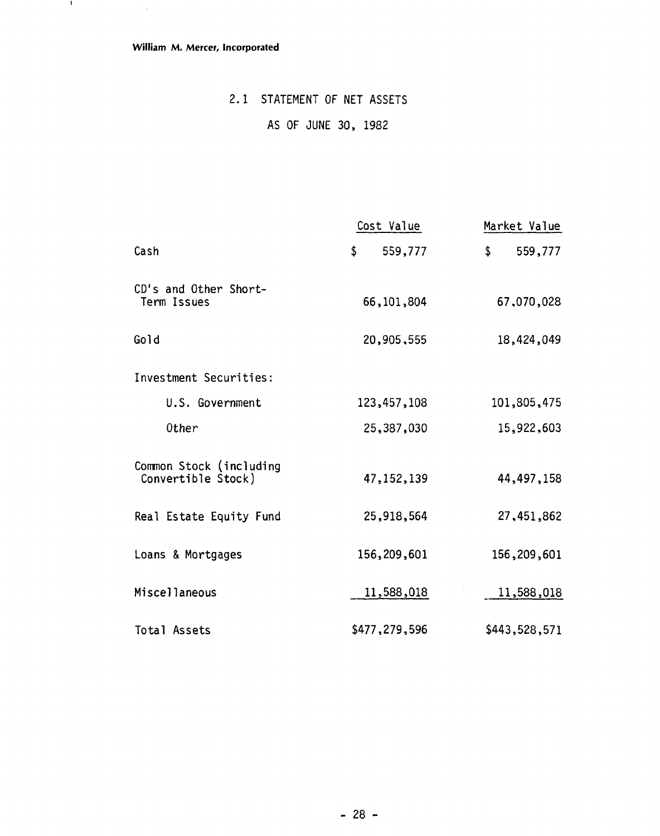$\bar{\mathcal{A}}$ 

 $\mathbf{I}$ 

### 2.1 STATEMENT OF NET ASSETS

### AS OF JUNE 30, 1982

|                                               | Cost Value    | Market Value             |
|-----------------------------------------------|---------------|--------------------------|
| Cash                                          | \$<br>559,777 | $\mathsf{\$}$<br>559,777 |
| CD's and Other Short-<br>Term Issues          | 66, 101, 804  | 67,070,028               |
| Gold                                          | 20,905,555    | 18,424,049               |
| Investment Securities:                        |               |                          |
| U.S. Government                               | 123,457,108   | 101,805,475              |
| 0ther                                         | 25,387,030    | 15,922,603               |
| Common Stock (including<br>Convertible Stock) | 47, 152, 139  | 44,497,158               |
| Real Estate Equity Fund                       | 25,918,564    | 27,451,862               |
| Loans & Mortgages                             | 156,209,601   | 156,209,601              |
| Miscellaneous                                 | 11,588,018    | 11,588,018               |
| Total Assets                                  | \$477,279,596 | \$443,528,571            |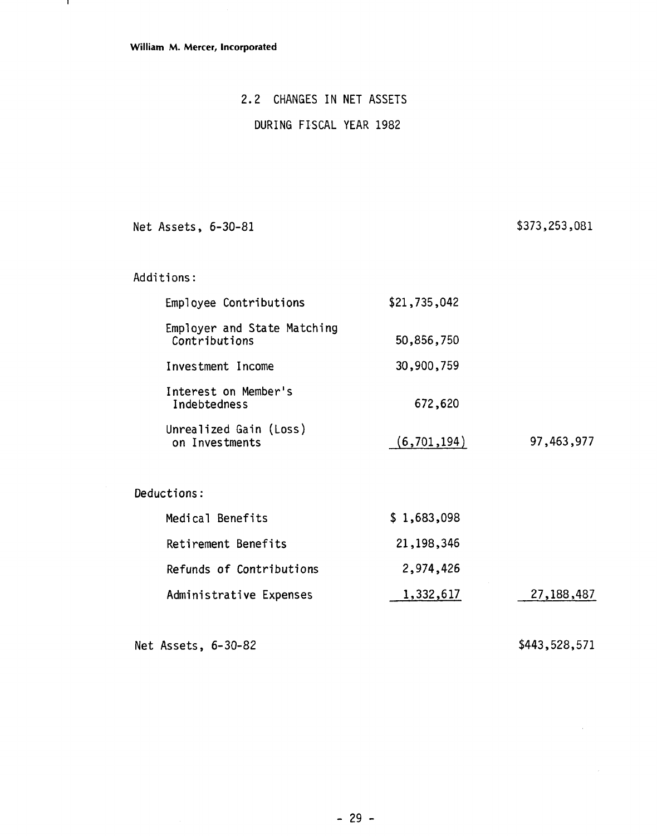$\mathbf{I}$ 

### **2.2 CHANGES IN NET ASSETS**

### **DURING FISCAL YEAR 1982**

**Net Assets, 6-30-81** 

\$373,253,081

| Employee Contributions                       | \$21,735,042  |            |
|----------------------------------------------|---------------|------------|
| Employer and State Matching<br>Contributions | 50,856,750    |            |
| Investment Income                            | 30,900,759    |            |
| Interest on Member's<br>Indebtedness         | 672,620       |            |
| Unrealized Gain (Loss)<br>on Investments     | (6, 701, 194) | 97,463,977 |
| Deductions:                                  |               |            |
| Medical Benefits                             | \$1,683,098   |            |
| Retirement Benefits                          | 21,198,346    |            |
| Refunds of Contributions                     | 2,974,426     |            |
| Administrative Expenses                      | 1,332,617     | 27,188,487 |
|                                              |               |            |

**Net Assets, 6-30-82** 

\$443,528,571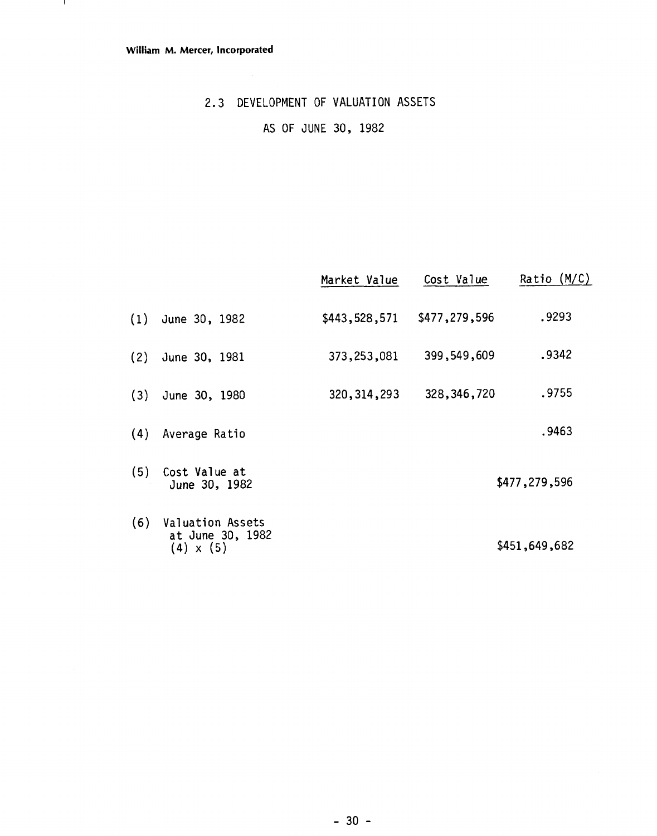- 11

### 2.3 DEVELOPMENT OF VALUATION ASSETS

### AS OF JUNE 30, 1982

|     |                                                                 | Market Value  | Cost Value    | Ratio (M/C)   |
|-----|-----------------------------------------------------------------|---------------|---------------|---------------|
| (1) | June 30, 1982                                                   | \$443,528,571 | \$477,279,596 | .9293         |
| (2) | June 30, 1981                                                   | 373,253,081   | 399,549,609   | .9342         |
| (3) | June 30, 1980                                                   | 320, 314, 293 | 328, 346, 720 | .9755         |
| (4) | Average Ratio                                                   |               |               | .9463         |
| (5) | Cost Value at<br>June 30, 1982                                  |               |               | \$477,279,596 |
| (6) | <b>Valuation Assets</b><br>at June 30, 1982<br>$(4) \times (5)$ |               |               | \$451,649,682 |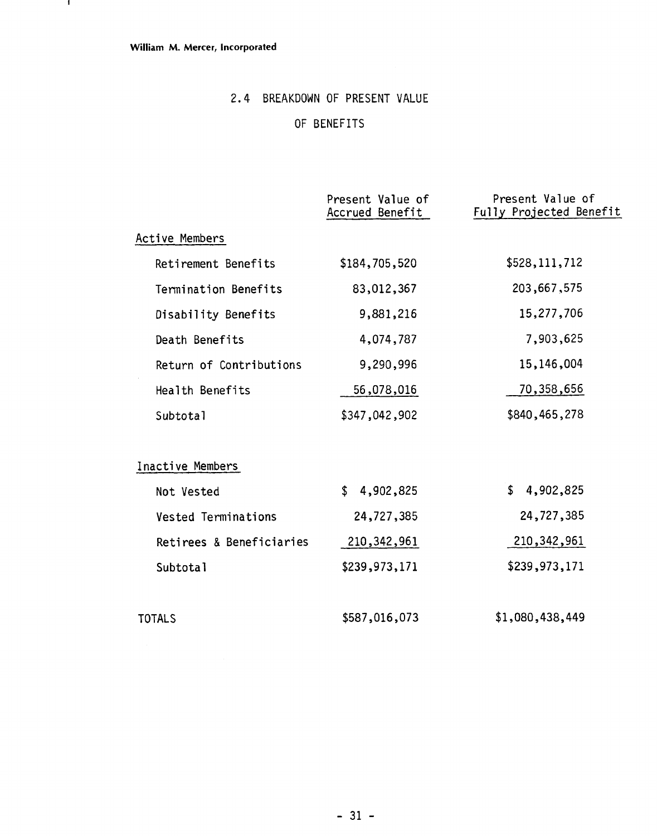$\mathbf{1}$ 

### 2.4 BREAKDOWN OF PRESENT VALUE

### OF BENEFITS

|                            | Present Value of<br>Accrued Benefit | Present Value of<br>Fully Projected Benefit |
|----------------------------|-------------------------------------|---------------------------------------------|
| Active Members             |                                     |                                             |
| Retirement Benefits        | \$184,705,520                       | \$528, 111, 712                             |
| Termination Benefits       | 83,012,367                          | 203,667,575                                 |
| Disability Benefits        | 9,881,216                           | 15,277,706                                  |
| Death Benefits             | 4,074,787                           | 7,903,625                                   |
| Return of Contributions    | 9,290,996                           | 15,146,004                                  |
| Health Benefits            | 56,078,016                          | 70,358,656                                  |
| Subtotal                   | \$347,042,902                       | \$840,465,278                               |
| Inactive Members           |                                     |                                             |
| Not Vested                 | 4,902,825<br>\$                     | \$4,902,825                                 |
| <b>Vested Terminations</b> | 24,727,385                          | 24,727,385                                  |
| Retirees & Beneficiaries   | 210, 342, 961                       | 210, 342, 961                               |
| Subtotal                   | \$239,973,171                       | \$239,973,171                               |
| <b>TOTALS</b>              | \$587,016,073                       | \$1,080,438,449                             |